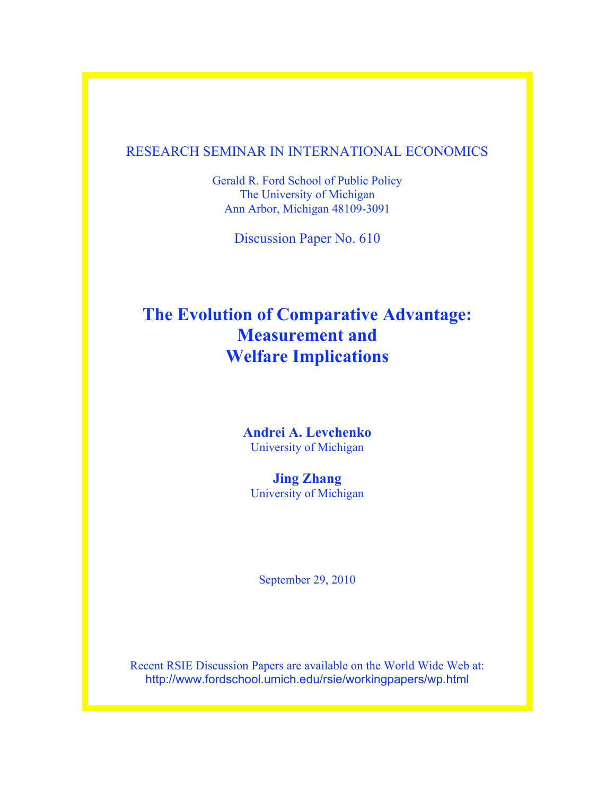## RESEARCH SEMINAR IN INTERNATIONAL ECONOMICS

Gerald R. Ford School of Public Policy The University of Michigan Ann Arbor, Michigan 48109-3091

Discussion Paper No. 610

# **The Evolution of Comparative Advantage: Measurement and Welfare Implications**

**Andrei A. Levchenko** University of Michigan

**Jing Zhang** University of Michigan

September 29, 2010

Recent RSIE Discussion Papers are available on the World Wide Web at: http://www.fordschool.umich.edu/rsie/workingpapers/wp.html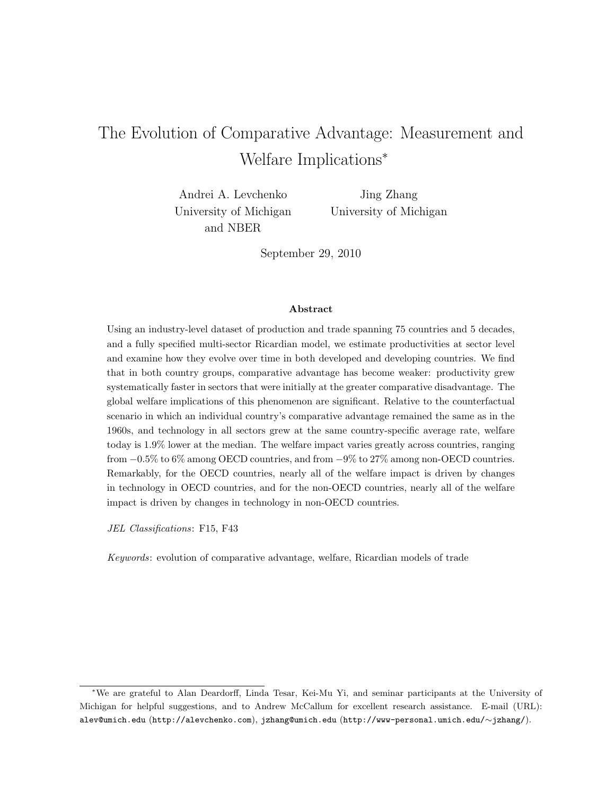# <span id="page-1-0"></span>The Evolution of Comparative Advantage: Measurement and Welfare Implications<sup>∗</sup>

Andrei A. Levchenko University of Michigan and NBER

Jing Zhang University of Michigan

September 29, 2010

#### Abstract

Using an industry-level dataset of production and trade spanning 75 countries and 5 decades, and a fully specified multi-sector Ricardian model, we estimate productivities at sector level and examine how they evolve over time in both developed and developing countries. We find that in both country groups, comparative advantage has become weaker: productivity grew systematically faster in sectors that were initially at the greater comparative disadvantage. The global welfare implications of this phenomenon are significant. Relative to the counterfactual scenario in which an individual country's comparative advantage remained the same as in the 1960s, and technology in all sectors grew at the same country-specific average rate, welfare today is 1.9% lower at the median. The welfare impact varies greatly across countries, ranging from −0.5% to 6% among OECD countries, and from −9% to 27% among non-OECD countries. Remarkably, for the OECD countries, nearly all of the welfare impact is driven by changes in technology in OECD countries, and for the non-OECD countries, nearly all of the welfare impact is driven by changes in technology in non-OECD countries.

JEL Classifications: F15, F43

Keywords: evolution of comparative advantage, welfare, Ricardian models of trade

<sup>∗</sup>We are grateful to Alan Deardorff, Linda Tesar, Kei-Mu Yi, and seminar participants at the University of Michigan for helpful suggestions, and to Andrew McCallum for excellent research assistance. E-mail (URL): alev@umich.edu (http://alevchenko.com), jzhang@umich.edu (http://www-personal.umich.edu/∼jzhang/).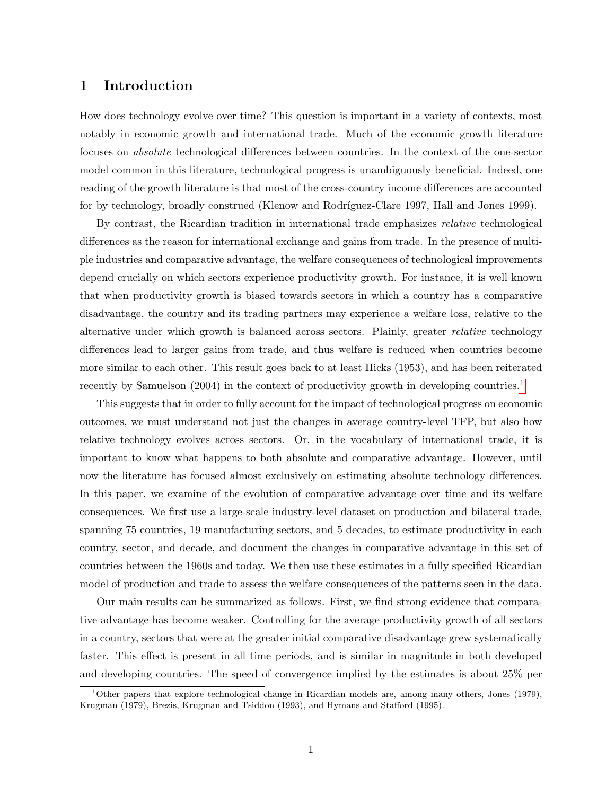## 1 Introduction

How does technology evolve over time? This question is important in a variety of contexts, most notably in economic growth and international trade. Much of the economic growth literature focuses on absolute technological differences between countries. In the context of the one-sector model common in this literature, technological progress is unambiguously beneficial. Indeed, one reading of the growth literature is that most of the cross-country income differences are accounted for by technology, broadly construed (Klenow and Rodríguez-Clare 1997, Hall and Jones 1999).

By contrast, the Ricardian tradition in international trade emphasizes relative technological differences as the reason for international exchange and gains from trade. In the presence of multiple industries and comparative advantage, the welfare consequences of technological improvements depend crucially on which sectors experience productivity growth. For instance, it is well known that when productivity growth is biased towards sectors in which a country has a comparative disadvantage, the country and its trading partners may experience a welfare loss, relative to the alternative under which growth is balanced across sectors. Plainly, greater *relative* technology differences lead to larger gains from trade, and thus welfare is reduced when countries become more similar to each other. This result goes back to at least Hicks (1953), and has been reiterated recently by Samuelson (2004) in the context of productivity growth in developing countries.<sup>[1](#page-1-0)</sup>

This suggests that in order to fully account for the impact of technological progress on economic outcomes, we must understand not just the changes in average country-level TFP, but also how relative technology evolves across sectors. Or, in the vocabulary of international trade, it is important to know what happens to both absolute and comparative advantage. However, until now the literature has focused almost exclusively on estimating absolute technology differences. In this paper, we examine of the evolution of comparative advantage over time and its welfare consequences. We first use a large-scale industry-level dataset on production and bilateral trade, spanning 75 countries, 19 manufacturing sectors, and 5 decades, to estimate productivity in each country, sector, and decade, and document the changes in comparative advantage in this set of countries between the 1960s and today. We then use these estimates in a fully specified Ricardian model of production and trade to assess the welfare consequences of the patterns seen in the data.

Our main results can be summarized as follows. First, we find strong evidence that comparative advantage has become weaker. Controlling for the average productivity growth of all sectors in a country, sectors that were at the greater initial comparative disadvantage grew systematically faster. This effect is present in all time periods, and is similar in magnitude in both developed and developing countries. The speed of convergence implied by the estimates is about 25% per

<sup>&</sup>lt;sup>1</sup>Other papers that explore technological change in Ricardian models are, among many others, Jones (1979), Krugman (1979), Brezis, Krugman and Tsiddon (1993), and Hymans and Stafford (1995).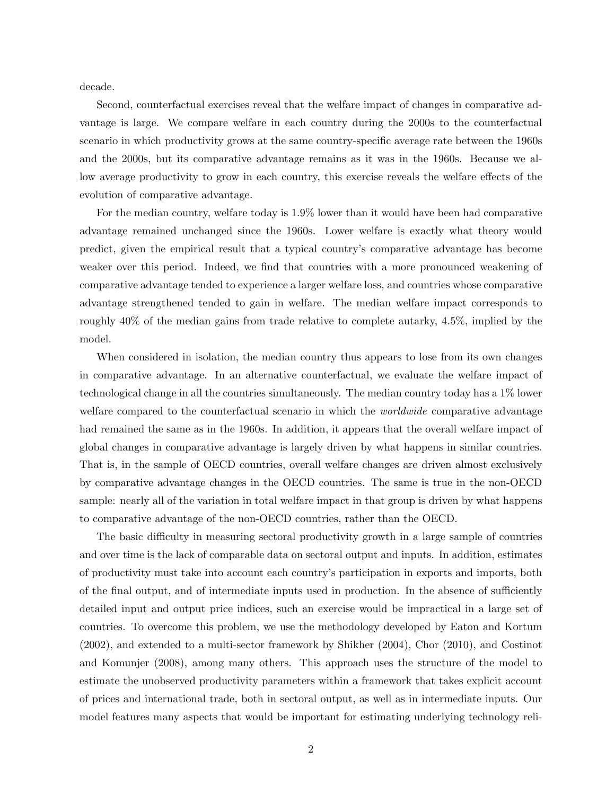decade.

Second, counterfactual exercises reveal that the welfare impact of changes in comparative advantage is large. We compare welfare in each country during the 2000s to the counterfactual scenario in which productivity grows at the same country-specific average rate between the 1960s and the 2000s, but its comparative advantage remains as it was in the 1960s. Because we allow average productivity to grow in each country, this exercise reveals the welfare effects of the evolution of comparative advantage.

For the median country, welfare today is 1.9% lower than it would have been had comparative advantage remained unchanged since the 1960s. Lower welfare is exactly what theory would predict, given the empirical result that a typical country's comparative advantage has become weaker over this period. Indeed, we find that countries with a more pronounced weakening of comparative advantage tended to experience a larger welfare loss, and countries whose comparative advantage strengthened tended to gain in welfare. The median welfare impact corresponds to roughly 40% of the median gains from trade relative to complete autarky, 4.5%, implied by the model.

When considered in isolation, the median country thus appears to lose from its own changes in comparative advantage. In an alternative counterfactual, we evaluate the welfare impact of technological change in all the countries simultaneously. The median country today has a 1% lower welfare compared to the counterfactual scenario in which the *worldwide* comparative advantage had remained the same as in the 1960s. In addition, it appears that the overall welfare impact of global changes in comparative advantage is largely driven by what happens in similar countries. That is, in the sample of OECD countries, overall welfare changes are driven almost exclusively by comparative advantage changes in the OECD countries. The same is true in the non-OECD sample: nearly all of the variation in total welfare impact in that group is driven by what happens to comparative advantage of the non-OECD countries, rather than the OECD.

The basic difficulty in measuring sectoral productivity growth in a large sample of countries and over time is the lack of comparable data on sectoral output and inputs. In addition, estimates of productivity must take into account each country's participation in exports and imports, both of the final output, and of intermediate inputs used in production. In the absence of sufficiently detailed input and output price indices, such an exercise would be impractical in a large set of countries. To overcome this problem, we use the methodology developed by Eaton and Kortum (2002), and extended to a multi-sector framework by Shikher (2004), Chor (2010), and Costinot and Komunjer (2008), among many others. This approach uses the structure of the model to estimate the unobserved productivity parameters within a framework that takes explicit account of prices and international trade, both in sectoral output, as well as in intermediate inputs. Our model features many aspects that would be important for estimating underlying technology reli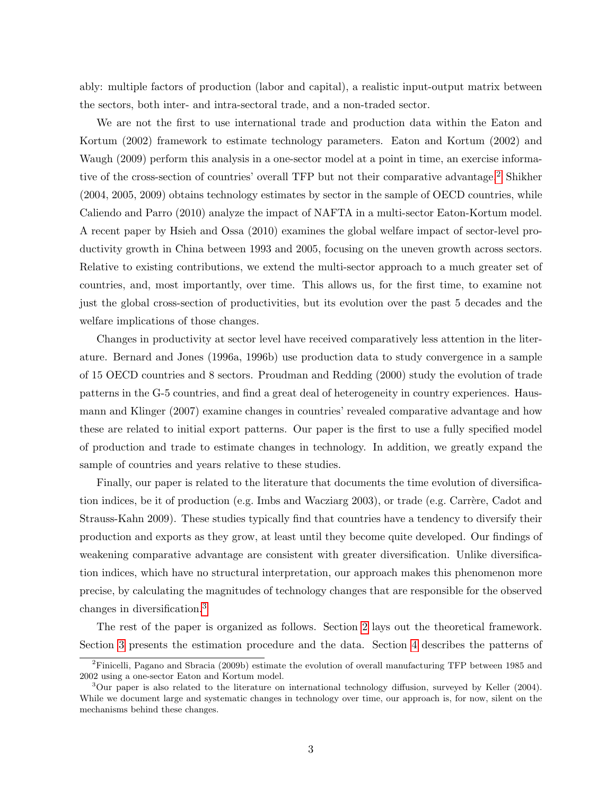ably: multiple factors of production (labor and capital), a realistic input-output matrix between the sectors, both inter- and intra-sectoral trade, and a non-traded sector.

We are not the first to use international trade and production data within the Eaton and Kortum (2002) framework to estimate technology parameters. Eaton and Kortum (2002) and Waugh (2009) perform this analysis in a one-sector model at a point in time, an exercise informative of the cross-section of countries' overall TFP but not their comparative advantage.[2](#page-1-0) Shikher (2004, 2005, 2009) obtains technology estimates by sector in the sample of OECD countries, while Caliendo and Parro (2010) analyze the impact of NAFTA in a multi-sector Eaton-Kortum model. A recent paper by Hsieh and Ossa (2010) examines the global welfare impact of sector-level productivity growth in China between 1993 and 2005, focusing on the uneven growth across sectors. Relative to existing contributions, we extend the multi-sector approach to a much greater set of countries, and, most importantly, over time. This allows us, for the first time, to examine not just the global cross-section of productivities, but its evolution over the past 5 decades and the welfare implications of those changes.

Changes in productivity at sector level have received comparatively less attention in the literature. Bernard and Jones (1996a, 1996b) use production data to study convergence in a sample of 15 OECD countries and 8 sectors. Proudman and Redding (2000) study the evolution of trade patterns in the G-5 countries, and find a great deal of heterogeneity in country experiences. Hausmann and Klinger (2007) examine changes in countries' revealed comparative advantage and how these are related to initial export patterns. Our paper is the first to use a fully specified model of production and trade to estimate changes in technology. In addition, we greatly expand the sample of countries and years relative to these studies.

Finally, our paper is related to the literature that documents the time evolution of diversification indices, be it of production (e.g. Imbs and Wacziarg 2003), or trade (e.g. Carrère, Cadot and Strauss-Kahn 2009). These studies typically find that countries have a tendency to diversify their production and exports as they grow, at least until they become quite developed. Our findings of weakening comparative advantage are consistent with greater diversification. Unlike diversification indices, which have no structural interpretation, our approach makes this phenomenon more precise, by calculating the magnitudes of technology changes that are responsible for the observed changes in diversification.[3](#page-1-0)

The rest of the paper is organized as follows. Section [2](#page-5-0) lays out the theoretical framework. Section [3](#page-9-0) presents the estimation procedure and the data. Section [4](#page-16-0) describes the patterns of

<sup>&</sup>lt;sup>2</sup>Finicelli, Pagano and Sbracia (2009b) estimate the evolution of overall manufacturing TFP between 1985 and 2002 using a one-sector Eaton and Kortum model.

<sup>3</sup>Our paper is also related to the literature on international technology diffusion, surveyed by Keller (2004). While we document large and systematic changes in technology over time, our approach is, for now, silent on the mechanisms behind these changes.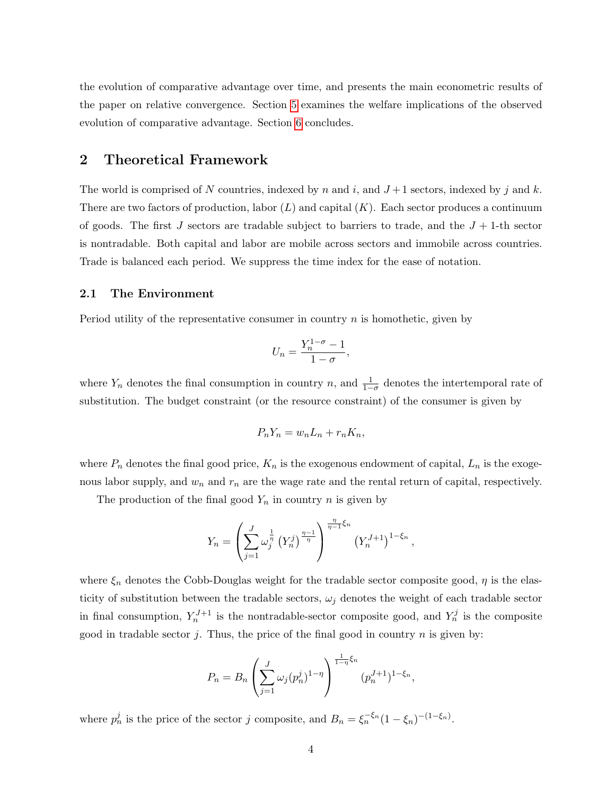the evolution of comparative advantage over time, and presents the main econometric results of the paper on relative convergence. Section [5](#page-19-0) examines the welfare implications of the observed evolution of comparative advantage. Section [6](#page-24-0) concludes.

## <span id="page-5-0"></span>2 Theoretical Framework

The world is comprised of N countries, indexed by n and i, and  $J+1$  sectors, indexed by j and k. There are two factors of production, labor  $(L)$  and capital  $(K)$ . Each sector produces a continuum of goods. The first J sectors are tradable subject to barriers to trade, and the  $J + 1$ -th sector is nontradable. Both capital and labor are mobile across sectors and immobile across countries. Trade is balanced each period. We suppress the time index for the ease of notation.

#### 2.1 The Environment

Period utility of the representative consumer in country  $n$  is homothetic, given by

$$
U_n = \frac{Y_n^{1-\sigma} - 1}{1 - \sigma},
$$

where  $Y_n$  denotes the final consumption in country n, and  $\frac{1}{1-\sigma}$  denotes the intertemporal rate of substitution. The budget constraint (or the resource constraint) of the consumer is given by

$$
P_n Y_n = w_n L_n + r_n K_n,
$$

where  $P_n$  denotes the final good price,  $K_n$  is the exogenous endowment of capital,  $L_n$  is the exogenous labor supply, and  $w_n$  and  $r_n$  are the wage rate and the rental return of capital, respectively.

The production of the final good  $Y_n$  in country n is given by

$$
Y_n = \left(\sum_{j=1}^J \omega_j^{\frac{1}{\eta}} \left(Y_n^j\right)^{\frac{\eta-1}{\eta}}\right)^{\frac{\eta}{\eta-1}\xi_n} \left(Y_n^{J+1}\right)^{1-\xi_n},
$$

where  $\xi_n$  denotes the Cobb-Douglas weight for the tradable sector composite good,  $\eta$  is the elasticity of substitution between the tradable sectors,  $\omega_j$  denotes the weight of each tradable sector in final consumption,  $Y_n^{J+1}$  is the nontradable-sector composite good, and  $Y_n^j$  is the composite good in tradable sector j. Thus, the price of the final good in country  $n$  is given by:

$$
P_n = B_n \left( \sum_{j=1}^J \omega_j (p_n^j)^{1-\eta} \right)^{\frac{1}{1-\eta} \xi_n} (p_n^{J+1})^{1-\xi_n},
$$

where  $p_n^j$  is the price of the sector j composite, and  $B_n = \xi_n^{-\xi_n} (1 - \xi_n)^{-(1 - \xi_n)}$ .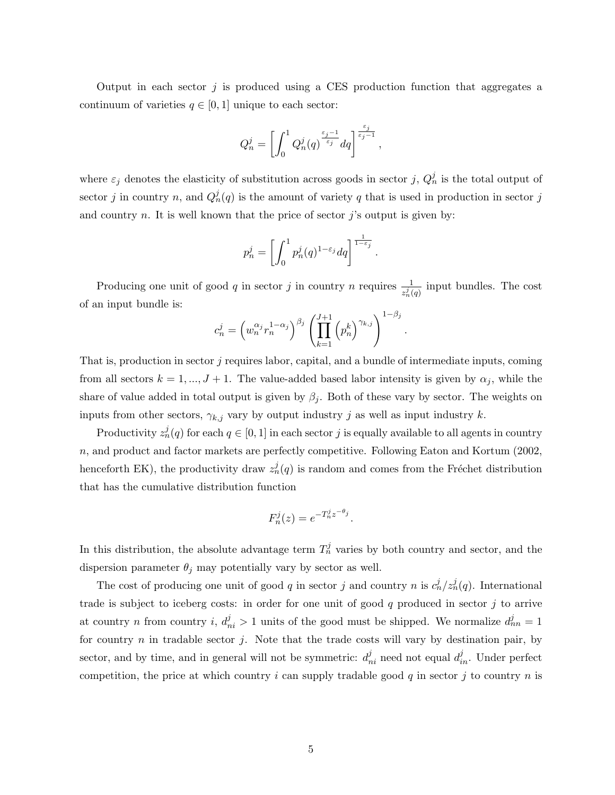Output in each sector  $j$  is produced using a CES production function that aggregates a continuum of varieties  $q \in [0, 1]$  unique to each sector:

$$
Q_n^j = \left[ \int_0^1 Q_n^j(q)^{\frac{\varepsilon_j-1}{\varepsilon_j}}dq \right]^{\frac{\varepsilon_j}{\varepsilon_j-1}},
$$

where  $\varepsilon_j$  denotes the elasticity of substitution across goods in sector j,  $Q_n^j$  is the total output of sector j in country n, and  $Q_n^j(q)$  is the amount of variety q that is used in production in sector j and country  $n$ . It is well known that the price of sector  $j$ 's output is given by:

$$
p_n^j = \left[ \int_0^1 p_n^j(q)^{1-\varepsilon_j} dq \right]^{\frac{1}{1-\varepsilon_j}}.
$$

Producing one unit of good q in sector j in country n requires  $\frac{1}{z_n^j(q)}$  input bundles. The cost of an input bundle is:

$$
c_n^j = \left(w_n^{\alpha_j} r_n^{1-\alpha_j}\right)^{\beta_j} \left(\prod_{k=1}^{J+1} \left(p_n^k\right)^{\gamma_{k,j}}\right)^{1-\beta_j}
$$

.

That is, production in sector j requires labor, capital, and a bundle of intermediate inputs, coming from all sectors  $k = 1, ..., J + 1$ . The value-added based labor intensity is given by  $\alpha_j$ , while the share of value added in total output is given by  $\beta_i$ . Both of these vary by sector. The weights on inputs from other sectors,  $\gamma_{k,j}$  vary by output industry j as well as input industry k.

Productivity  $z_n^j(q)$  for each  $q \in [0,1]$  in each sector  $j$  is equally available to all agents in country n, and product and factor markets are perfectly competitive. Following Eaton and Kortum (2002, henceforth EK), the productivity draw  $z_n^j(q)$  is random and comes from the Fréchet distribution that has the cumulative distribution function

$$
F_n^j(z) = e^{-T_n^j z^{-\theta_j}}.
$$

In this distribution, the absolute advantage term  $T_n^j$  varies by both country and sector, and the dispersion parameter  $\theta_j$  may potentially vary by sector as well.

The cost of producing one unit of good q in sector j and country n is  $c_n^j/z_n^j(q)$ . International trade is subject to iceberg costs: in order for one unit of good  $q$  produced in sector  $j$  to arrive at country *n* from country *i*,  $d_{ni}^j > 1$  units of the good must be shipped. We normalize  $d_{nn}^j = 1$ for country  $n$  in tradable sector  $j$ . Note that the trade costs will vary by destination pair, by sector, and by time, and in general will not be symmetric:  $d_{ni}^j$  need not equal  $d_{in}^j$ . Under perfect competition, the price at which country i can supply tradable good q in sector j to country n is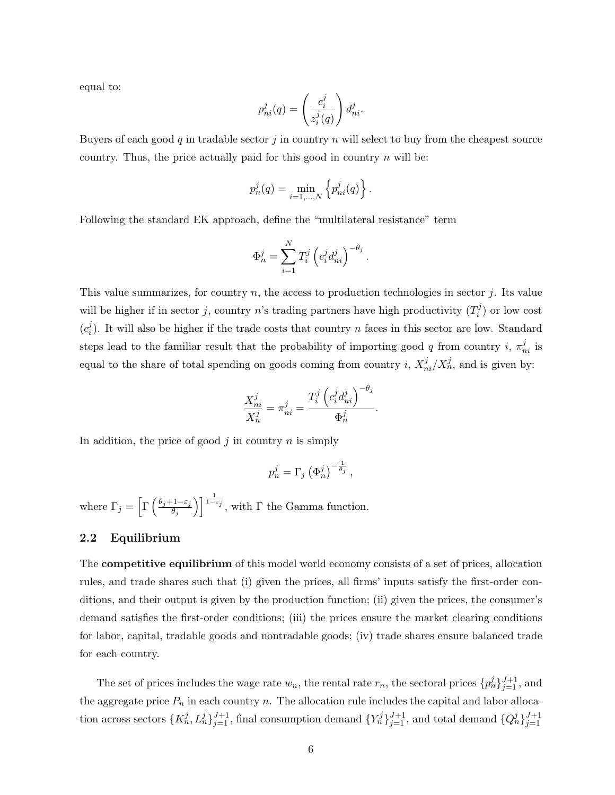equal to:

$$
p_{ni}^j(q)=\left(\frac{c_i^j}{z_i^j(q)}\right)d_{ni}^j.
$$

Buyers of each good q in tradable sector  $j$  in country  $n$  will select to buy from the cheapest source country. Thus, the price actually paid for this good in country  $n$  will be:

$$
p_n^j(q) = \min_{i=1,\dots,N} \left\{ p_{ni}^j(q) \right\}
$$

.

Following the standard EK approach, define the "multilateral resistance" term

$$
\Phi_n^j = \sum_{i=1}^N T_i^j \left( c_i^j d_{ni}^j \right)^{-\theta_j}.
$$

This value summarizes, for country  $n$ , the access to production technologies in sector  $j$ . Its value will be higher if in sector j, country n's trading partners have high productivity  $(T_i^j)$  $i^j$ ) or low cost  $(c_i^j)$ <sup>2</sup><sub>i</sub>). It will also be higher if the trade costs that country *n* faces in this sector are low. Standard steps lead to the familiar result that the probability of importing good q from country i,  $\pi_{ni}^{j}$  is equal to the share of total spending on goods coming from country i,  $X_{ni}^j/X_n^j$ , and is given by:

$$
\frac{X_{ni}^j}{X_n^j} = \pi_{ni}^j = \frac{T_i^j \left( c_i^j d_{ni}^j \right)^{-\theta_j}}{\Phi_n^j}.
$$

In addition, the price of good  $j$  in country  $n$  is simply

$$
p_n^j = \Gamma_j \left(\Phi_n^j\right)^{-\frac{1}{\theta_j}},
$$

where  $\Gamma_j = \left[ \Gamma \left( \frac{\theta_j + 1 - \varepsilon_j}{\theta_j} \right) \right]$  $\overline{\theta_j}$ )  $\left[\frac{1}{1-\epsilon_j}\right]$ , with  $\Gamma$  the Gamma function.

#### 2.2 Equilibrium

The competitive equilibrium of this model world economy consists of a set of prices, allocation rules, and trade shares such that (i) given the prices, all firms' inputs satisfy the first-order conditions, and their output is given by the production function; (ii) given the prices, the consumer's demand satisfies the first-order conditions; (iii) the prices ensure the market clearing conditions for labor, capital, tradable goods and nontradable goods; (iv) trade shares ensure balanced trade for each country.

The set of prices includes the wage rate  $w_n$ , the rental rate  $r_n$ , the sectoral prices  $\{p_n^j\}_{j=1}^{J+1}$ , and the aggregate price  $P_n$  in each country n. The allocation rule includes the capital and labor allocation across sectors  $\{K_n^j, L_n^j\}_{j=1}^{J+1}$ , final consumption demand  $\{Y_n^j\}_{j=1}^{J+1}$ , and total demand  $\{Q_n^j\}_{j=1}^{J+1}$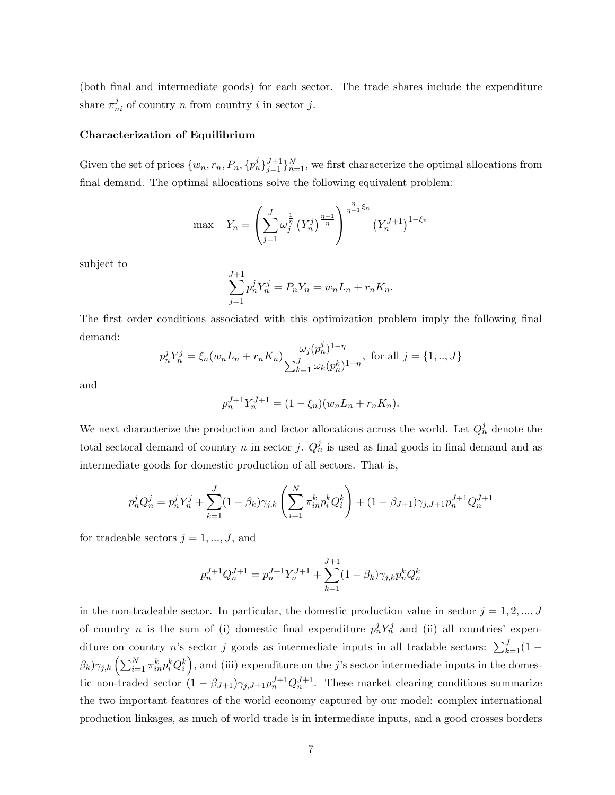(both final and intermediate goods) for each sector. The trade shares include the expenditure share  $\pi_{ni}^j$  of country n from country i in sector j.

#### Characterization of Equilibrium

Given the set of prices  $\{w_n, r_n, P_n, \{p_n^j\}_{j=1}^{J+1}\}_{n=1}^N$ , we first characterize the optimal allocations from final demand. The optimal allocations solve the following equivalent problem:

max 
$$
Y_n = \left(\sum_{j=1}^{J} \omega_j^{\frac{1}{\eta}} (Y_n^j)^{\frac{\eta-1}{\eta}}\right)^{\frac{\eta}{\eta-1}\xi_n} (Y_n^{J+1})^{1-\xi_n}
$$

subject to

$$
\sum_{j=1}^{J+1} p_n^j Y_n^j = P_n Y_n = w_n L_n + r_n K_n.
$$

The first order conditions associated with this optimization problem imply the following final demand:

$$
p_n^j Y_n^j = \xi_n (w_n L_n + r_n K_n) \frac{\omega_j (p_n^j)^{1-\eta}}{\sum_{k=1}^J \omega_k (p_n^k)^{1-\eta}}, \text{ for all } j = \{1, ..., J\}
$$

and

$$
p_n^{J+1} Y_n^{J+1} = (1 - \xi_n)(w_n L_n + r_n K_n).
$$

We next characterize the production and factor allocations across the world. Let  $Q_n^j$  denote the total sectoral demand of country n in sector j.  $Q_n^j$  is used as final goods in final demand and as intermediate goods for domestic production of all sectors. That is,

$$
p_n^j Q_n^j = p_n^j Y_n^j + \sum_{k=1}^J (1 - \beta_k) \gamma_{j,k} \left( \sum_{i=1}^N \pi_{in}^k p_i^k Q_i^k \right) + (1 - \beta_{J+1}) \gamma_{j,J+1} p_n^{J+1} Q_n^{J+1}
$$

for tradeable sectors  $j = 1, ..., J$ , and

$$
p_n^{J+1} Q_n^{J+1} = p_n^{J+1} Y_n^{J+1} + \sum_{k=1}^{J+1} (1 - \beta_k) \gamma_{j,k} p_n^k Q_n^k
$$

in the non-tradeable sector. In particular, the domestic production value in sector  $j = 1, 2, ..., J$ of country *n* is the sum of (i) domestic final expenditure  $p_n^j Y_n^j$  and (ii) all countries' expenditure on country n's sector j goods as intermediate inputs in all tradable sectors:  $\sum_{k=1}^{J} (1 (\beta_k)\gamma_{j,k}\left(\sum_{i=1}^N\pi_{in}^kp_i^kQ_i^k\right)$ , and (iii) expenditure on the j's sector intermediate inputs in the domestic non-traded sector  $(1 - \beta_{J+1})\gamma_{j,J+1}p_n^{J+1}Q_n^{J+1}$ . These market clearing conditions summarize the two important features of the world economy captured by our model: complex international production linkages, as much of world trade is in intermediate inputs, and a good crosses borders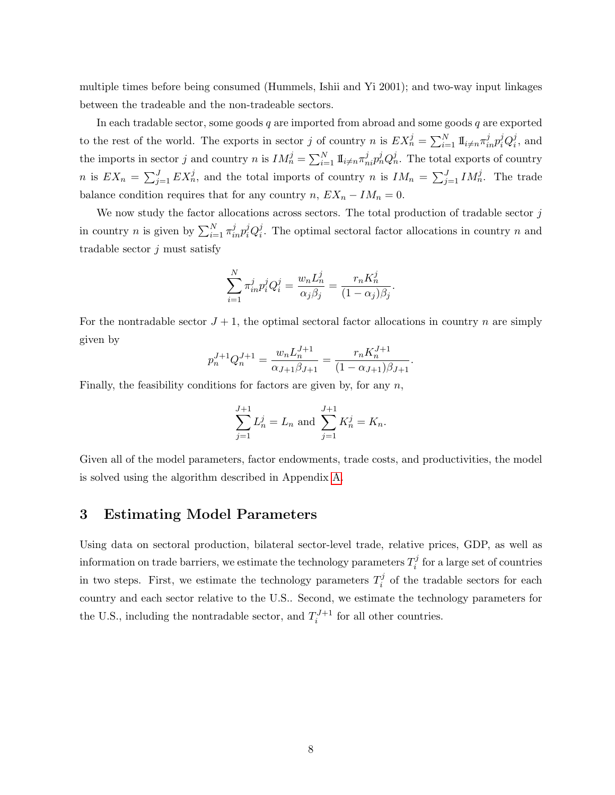multiple times before being consumed (Hummels, Ishii and Yi 2001); and two-way input linkages between the tradeable and the non-tradeable sectors.

In each tradable sector, some goods  $q$  are imported from abroad and some goods  $q$  are exported to the rest of the world. The exports in sector j of country n is  $EX_n^j = \sum_{i=1}^N \mathbb{I}_{i \neq n} \pi_{in}^j p_i^j Q_i^j$  $i<sub>i</sub>$ , and the imports in sector j and country n is  $IM_n^j = \sum_{i=1}^N \mathbb{I}_{i \neq n} \pi_{ni}^j p_n^j Q_n^j$ . The total exports of country n is  $EX_n = \sum_{j=1}^J EX_n^j$ , and the total imports of country n is  $IM_n = \sum_{j=1}^J IM_n^j$ . The trade balance condition requires that for any country  $n, EX_n - IM_n = 0$ .

We now study the factor allocations across sectors. The total production of tradable sector j in country *n* is given by  $\sum_{i=1}^{N} \pi_{in}^{j} p_i^j Q_i^j$  $i<sub>i</sub>$ . The optimal sectoral factor allocations in country n and tradable sector  $j$  must satisfy

$$
\sum_{i=1}^N \pi_{in}^j p_i^j Q_i^j = \frac{w_n L_n^j}{\alpha_j \beta_j} = \frac{r_n K_n^j}{(1 - \alpha_j)\beta_j}.
$$

For the nontradable sector  $J + 1$ , the optimal sectoral factor allocations in country n are simply given by

$$
p_n^{J+1} Q_n^{J+1} = \frac{w_n L_n^{J+1}}{\alpha_{J+1} \beta_{J+1}} = \frac{r_n K_n^{J+1}}{(1 - \alpha_{J+1}) \beta_{J+1}}.
$$

Finally, the feasibility conditions for factors are given by, for any  $n$ ,

$$
\sum_{j=1}^{J+1} L_n^j = L_n \text{ and } \sum_{j=1}^{J+1} K_n^j = K_n.
$$

Given all of the model parameters, factor endowments, trade costs, and productivities, the model is solved using the algorithm described in Appendix [A.](#page-25-0)

## <span id="page-9-0"></span>3 Estimating Model Parameters

Using data on sectoral production, bilateral sector-level trade, relative prices, GDP, as well as information on trade barriers, we estimate the technology parameters  $T_i^j$  $\mathbf{F}_i^j$  for a large set of countries in two steps. First, we estimate the technology parameters  $T_i^j$  $i<sup>j</sup>$  of the tradable sectors for each country and each sector relative to the U.S.. Second, we estimate the technology parameters for the U.S., including the nontradable sector, and  $T_i^{J+1}$  for all other countries.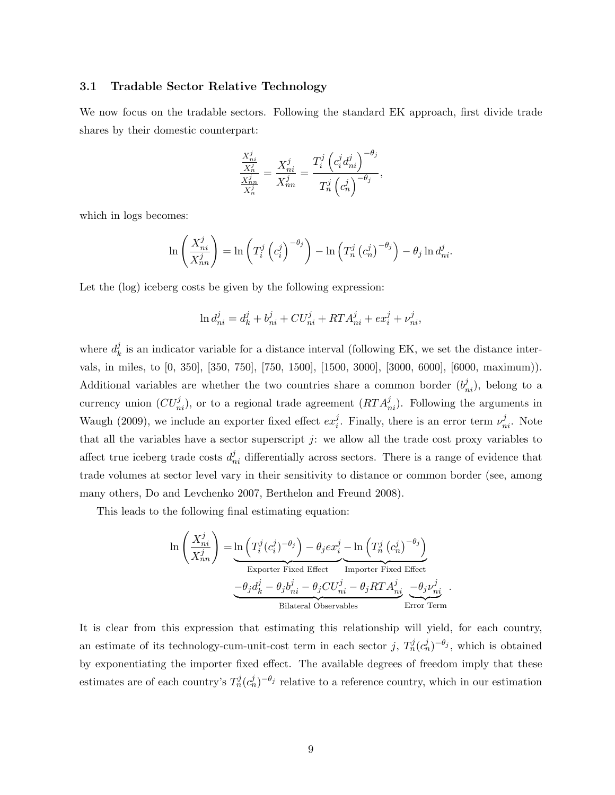#### <span id="page-10-0"></span>3.1 Tradable Sector Relative Technology

We now focus on the tradable sectors. Following the standard EK approach, first divide trade shares by their domestic counterpart:

$$
\frac{\frac{X_{ni}^j}{X_n^j}}{X_{ni}^j} = \frac{X_{ni}^j}{X_{nn}^j} = \frac{T_i^j \left( c_i^j d_{ni}^j \right)^{-\theta_j}}{T_n^j \left( c_n^j \right)^{-\theta_j}},
$$

which in logs becomes:

$$
\ln\left(\frac{X_{ni}^j}{X_{nn}^j}\right) = \ln\left(T_i^j\left(c_i^j\right)^{-\theta_j}\right) - \ln\left(T_n^j\left(c_n^j\right)^{-\theta_j}\right) - \theta_j\ln d_{ni}^j.
$$

Let the (log) iceberg costs be given by the following expression:

$$
\ln d_{ni}^j = d_k^j + b_{ni}^j + CU_{ni}^j + RTA_{ni}^j + ex_i^j + \nu_{ni}^j,
$$

where  $d_k^j$  $\mathcal{L}_{k}^{j}$  is an indicator variable for a distance interval (following EK, we set the distance intervals, in miles, to [0, 350], [350, 750], [750, 1500], [1500, 3000], [3000, 6000], [6000, maximum)). Additional variables are whether the two countries share a common border  $(b_{ni}^j)$ , belong to a currency union  $(CU_{ni}^j)$ , or to a regional trade agreement  $(RTA_{ni}^j)$ . Following the arguments in Waugh (2009), we include an exporter fixed effect  $ex_i^j$  $i$ . Finally, there is an error term  $\nu_{ni}^{j}$ . Note that all the variables have a sector superscript  $j$ : we allow all the trade cost proxy variables to affect true iceberg trade costs  $d_{ni}^j$  differentially across sectors. There is a range of evidence that trade volumes at sector level vary in their sensitivity to distance or common border (see, among many others, Do and Levchenko 2007, Berthelon and Freund 2008).

This leads to the following final estimating equation:

$$
\ln\left(\frac{X_{ni}^j}{X_{nn}^j}\right) = \underbrace{\ln\left(T_i^j(c_i^j)^{-\theta_j}\right) - \theta_j e x_i^j}_{\text{Experter Fixed Effect}} - \underbrace{\ln\left(T_n^j(c_n^j)^{-\theta_j}\right)}_{\text{Inporter Fixed Effect}}
$$
\n
$$
\underbrace{-\theta_j d_k^j - \theta_j b_{ni}^j - \theta_j C U_{ni}^j - \theta_j R T A_{ni}^j}_{\text{Bilateral Observables}} - \underbrace{\theta_j \nu_{ni}^j}_{\text{Error Term}}.
$$

It is clear from this expression that estimating this relationship will yield, for each country, an estimate of its technology-cum-unit-cost term in each sector j,  $T_n^j(c_n^j)^{-\theta_j}$ , which is obtained by exponentiating the importer fixed effect. The available degrees of freedom imply that these estimates are of each country's  $T_n^j(c_n^j)^{-\theta_j}$  relative to a reference country, which in our estimation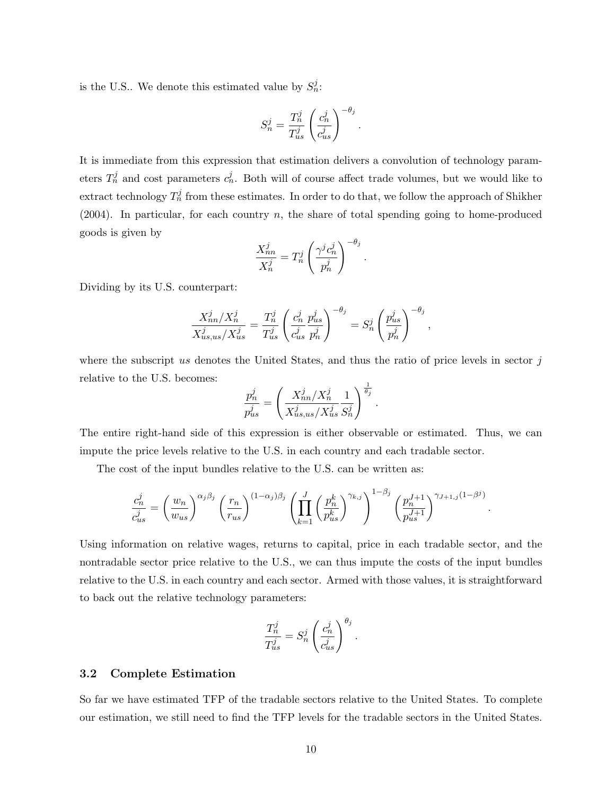is the U.S.. We denote this estimated value by  $S_n^j$ :

$$
S_n^j = \frac{T_n^j}{T_{us}^j} \left(\frac{c_n^j}{c_{us}^j}\right)^{-\theta_j}
$$

.

It is immediate from this expression that estimation delivers a convolution of technology parameters  $T_n^j$  and cost parameters  $c_n^j$ . Both will of course affect trade volumes, but we would like to extract technology  $T_n^j$  from these estimates. In order to do that, we follow the approach of Shikher  $(2004)$ . In particular, for each country n, the share of total spending going to home-produced goods is given by

$$
\frac{X_{nn}^j}{X_n^j} = T_n^j \left(\frac{\gamma^j c_n^j}{p_n^j}\right)^{-\theta_j}.
$$

Dividing by its U.S. counterpart:

$$
\frac{X_{nn}^j/X_n^j}{X_{us,us}^j/X_{us}^j} = \frac{T_n^j}{T_{us}^j} \left(\frac{c_n^j}{c_{us}^j} \frac{p_{us}^j}{p_n^j}\right)^{-\theta_j} = S_n^j \left(\frac{p_{us}^j}{p_n^j}\right)^{-\theta_j},
$$

where the subscript us denotes the United States, and thus the ratio of price levels in sector  $j$ relative to the U.S. becomes:

$$
\frac{p_n^j}{p_{us}^j} = \left(\frac{X_{nn}^j/X_{n}^j}{X_{us,us}^j/X_{us}^j} \frac{1}{S_n^j}\right)^{\frac{1}{\theta_j}}.
$$

The entire right-hand side of this expression is either observable or estimated. Thus, we can impute the price levels relative to the U.S. in each country and each tradable sector.

The cost of the input bundles relative to the U.S. can be written as:

$$
\frac{c_n^j}{c_{us}^j} = \left(\frac{w_n}{w_{us}}\right)^{\alpha_j \beta_j} \left(\frac{r_n}{r_{us}}\right)^{(1-\alpha_j)\beta_j} \left(\prod_{k=1}^J \left(\frac{p_n^k}{p_{us}^k}\right)^{\gamma_{k,j}}\right)^{1-\beta_j} \left(\frac{p_n^{J+1}}{p_{us}^{J+1}}\right)^{\gamma_{J+1,j}(1-\beta^j)}
$$

.

Using information on relative wages, returns to capital, price in each tradable sector, and the nontradable sector price relative to the U.S., we can thus impute the costs of the input bundles relative to the U.S. in each country and each sector. Armed with those values, it is straightforward to back out the relative technology parameters:

$$
\frac{T_n^j}{T_{us}^j} = S_n^j \left(\frac{c_n^j}{c_{us}^j}\right)^{\theta_j}.
$$

#### 3.2 Complete Estimation

So far we have estimated TFP of the tradable sectors relative to the United States. To complete our estimation, we still need to find the TFP levels for the tradable sectors in the United States.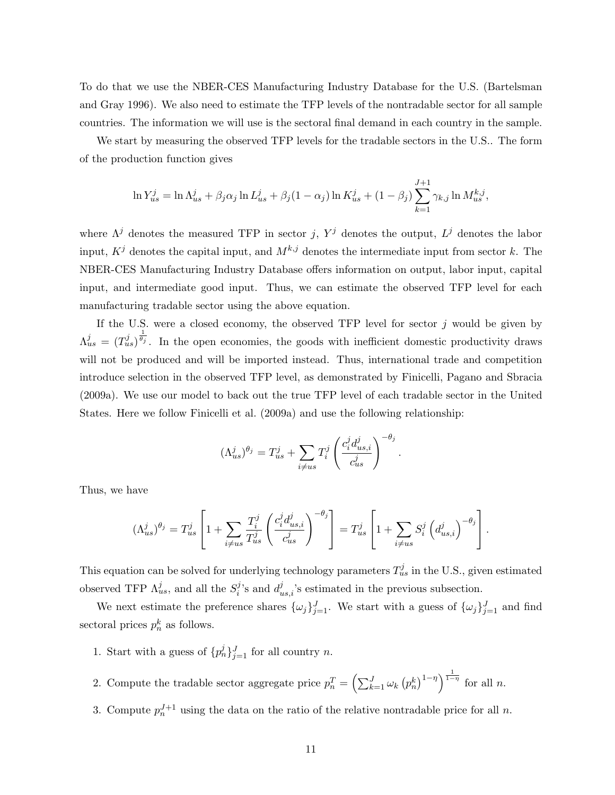To do that we use the NBER-CES Manufacturing Industry Database for the U.S. (Bartelsman and Gray 1996). We also need to estimate the TFP levels of the nontradable sector for all sample countries. The information we will use is the sectoral final demand in each country in the sample.

We start by measuring the observed TFP levels for the tradable sectors in the U.S.. The form of the production function gives

$$
\ln Y_{us}^j = \ln \Lambda_{us}^j + \beta_j \alpha_j \ln L_{us}^j + \beta_j (1 - \alpha_j) \ln K_{us}^j + (1 - \beta_j) \sum_{k=1}^{J+1} \gamma_{k,j} \ln M_{us}^{k,j},
$$

where  $\Lambda^j$  denotes the measured TFP in sector j,  $Y^j$  denotes the output,  $L^j$  denotes the labor input,  $K^j$  denotes the capital input, and  $M^{k,j}$  denotes the intermediate input from sector k. The NBER-CES Manufacturing Industry Database offers information on output, labor input, capital input, and intermediate good input. Thus, we can estimate the observed TFP level for each manufacturing tradable sector using the above equation.

If the U.S. were a closed economy, the observed TFP level for sector  $j$  would be given by  $\Lambda_{us}^{j} = (T_{us}^{j})^{\frac{1}{\theta_{j}}}$ . In the open economies, the goods with inefficient domestic productivity draws will not be produced and will be imported instead. Thus, international trade and competition introduce selection in the observed TFP level, as demonstrated by Finicelli, Pagano and Sbracia (2009a). We use our model to back out the true TFP level of each tradable sector in the United States. Here we follow Finicelli et al. (2009a) and use the following relationship:

$$
(\Lambda_{us}^j)^{\theta_j} = T_{us}^j + \sum_{i \neq us} T_i^j \left( \frac{c_i^j d_{us,i}^j}{c_{us}^j} \right)^{-\theta_j}.
$$

Thus, we have

$$
(\Lambda_{us}^j)^{\theta_j} = T_{us}^j \left[ 1 + \sum_{i \neq us} \frac{T_i^j}{T_{us}^j} \left( \frac{c_i^j d_{us,i}^j}{c_{us}^j} \right)^{-\theta_j} \right] = T_{us}^j \left[ 1 + \sum_{i \neq us} S_i^j \left( d_{us,i}^j \right)^{-\theta_j} \right].
$$

This equation can be solved for underlying technology parameters  $T_{us}^j$  in the U.S., given estimated observed TFP  $\Lambda_{us}^j$ , and all the  $S_i^j$  $i^{j}$ 's and  $d_{us,i}^{j}$ 's estimated in the previous subsection.

We next estimate the preference shares  $\{\omega_j\}_{j=1}^J$ . We start with a guess of  $\{\omega_j\}_{j=1}^J$  and find sectoral prices  $p_n^k$  as follows.

1. Start with a guess of  $\{p_n^j\}_{j=1}^J$  for all country n.

2. Compute the tradable sector aggregate price  $p_n^T = \left(\sum_{k=1}^J \omega_k (p_n^k)^{1-\eta}\right)^{\frac{1}{1-\eta}}$  for all n.

3. Compute  $p_n^{J+1}$  using the data on the ratio of the relative nontradable price for all n.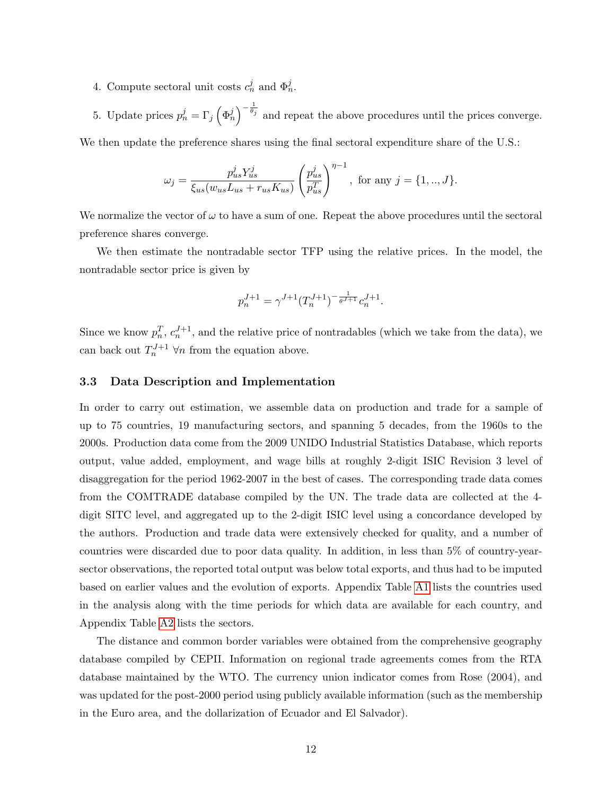- 4. Compute sectoral unit costs  $c_n^j$  and  $\Phi_n^j$ .
- 5. Update prices  $p_n^j = \Gamma_j \left( \Phi_n^j \right)^{-\frac{1}{\theta_j}}$  and repeat the above procedures until the prices converge.

We then update the preference shares using the final sectoral expenditure share of the U.S.:

$$
\omega_j = \frac{p_{us}^j Y_{us}^j}{\xi_{us}(w_{us} L_{us} + r_{us} K_{us})} \left(\frac{p_{us}^j}{p_{us}^T}\right)^{\eta - 1}, \text{ for any } j = \{1, ..., J\}.
$$

We normalize the vector of  $\omega$  to have a sum of one. Repeat the above procedures until the sectoral preference shares converge.

We then estimate the nontradable sector TFP using the relative prices. In the model, the nontradable sector price is given by

$$
p_n^{J+1} = \gamma^{J+1} (T_n^{J+1})^{-\frac{1}{\theta^{J+1}}} c_n^{J+1}.
$$

Since we know  $p_n^T, c_n^{J+1}$ , and the relative price of nontradables (which we take from the data), we can back out  $T_n^{J+1}$   $\forall n$  from the equation above.

#### 3.3 Data Description and Implementation

In order to carry out estimation, we assemble data on production and trade for a sample of up to 75 countries, 19 manufacturing sectors, and spanning 5 decades, from the 1960s to the 2000s. Production data come from the 2009 UNIDO Industrial Statistics Database, which reports output, value added, employment, and wage bills at roughly 2-digit ISIC Revision 3 level of disaggregation for the period 1962-2007 in the best of cases. The corresponding trade data comes from the COMTRADE database compiled by the UN. The trade data are collected at the 4 digit SITC level, and aggregated up to the 2-digit ISIC level using a concordance developed by the authors. Production and trade data were extensively checked for quality, and a number of countries were discarded due to poor data quality. In addition, in less than 5% of country-yearsector observations, the reported total output was below total exports, and thus had to be imputed based on earlier values and the evolution of exports. Appendix Table [A1](#page-30-0) lists the countries used in the analysis along with the time periods for which data are available for each country, and Appendix Table [A2](#page-31-0) lists the sectors.

The distance and common border variables were obtained from the comprehensive geography database compiled by CEPII. Information on regional trade agreements comes from the RTA database maintained by the WTO. The currency union indicator comes from Rose (2004), and was updated for the post-2000 period using publicly available information (such as the membership in the Euro area, and the dollarization of Ecuador and El Salvador).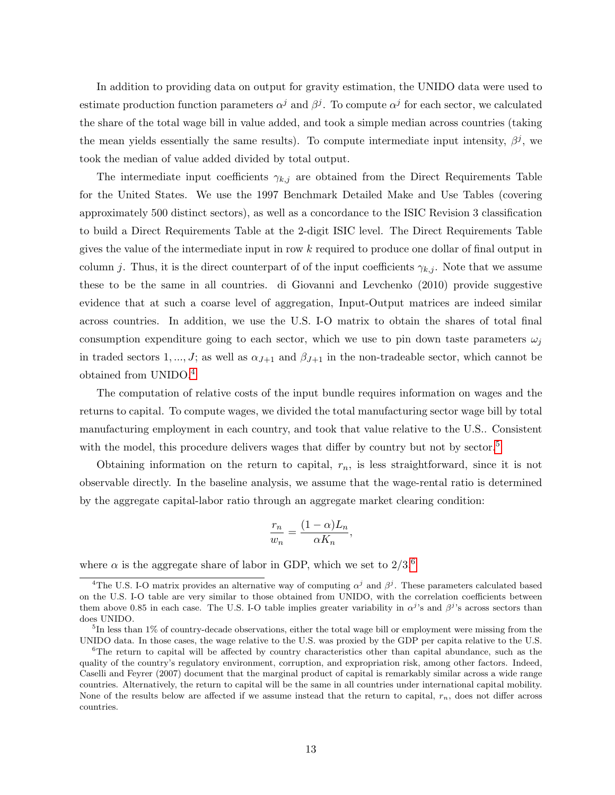In addition to providing data on output for gravity estimation, the UNIDO data were used to estimate production function parameters  $\alpha^j$  and  $\beta^j$ . To compute  $\alpha^j$  for each sector, we calculated the share of the total wage bill in value added, and took a simple median across countries (taking the mean yields essentially the same results). To compute intermediate input intensity,  $\beta^j$ , we took the median of value added divided by total output.

The intermediate input coefficients  $\gamma_{k,j}$  are obtained from the Direct Requirements Table for the United States. We use the 1997 Benchmark Detailed Make and Use Tables (covering approximately 500 distinct sectors), as well as a concordance to the ISIC Revision 3 classification to build a Direct Requirements Table at the 2-digit ISIC level. The Direct Requirements Table gives the value of the intermediate input in row k required to produce one dollar of final output in column j. Thus, it is the direct counterpart of of the input coefficients  $\gamma_{k,j}$ . Note that we assume these to be the same in all countries. di Giovanni and Levchenko (2010) provide suggestive evidence that at such a coarse level of aggregation, Input-Output matrices are indeed similar across countries. In addition, we use the U.S. I-O matrix to obtain the shares of total final consumption expenditure going to each sector, which we use to pin down taste parameters  $\omega_i$ in traded sectors 1, ..., J; as well as  $\alpha_{J+1}$  and  $\beta_{J+1}$  in the non-tradeable sector, which cannot be obtained from UNIDO.[4](#page-1-0)

The computation of relative costs of the input bundle requires information on wages and the returns to capital. To compute wages, we divided the total manufacturing sector wage bill by total manufacturing employment in each country, and took that value relative to the U.S.. Consistent with the model, this procedure delivers wages that differ by country but not by sector.<sup>[5](#page-1-0)</sup>

Obtaining information on the return to capital,  $r_n$ , is less straightforward, since it is not observable directly. In the baseline analysis, we assume that the wage-rental ratio is determined by the aggregate capital-labor ratio through an aggregate market clearing condition:

$$
\frac{r_n}{w_n} = \frac{(1-\alpha)L_n}{\alpha K_n},
$$

where  $\alpha$  is the aggregate share of labor in GDP, which we set to  $2/3.6$  $2/3.6$ 

<sup>&</sup>lt;sup>4</sup>The U.S. I-O matrix provides an alternative way of computing  $\alpha^j$  and  $\beta^j$ . These parameters calculated based on the U.S. I-O table are very similar to those obtained from UNIDO, with the correlation coefficients between them above 0.85 in each case. The U.S. I-O table implies greater variability in  $\alpha^{j}$ 's and  $\beta^{j}$ 's across sectors than does UNIDO.

<sup>&</sup>lt;sup>5</sup>In less than 1% of country-decade observations, either the total wage bill or employment were missing from the UNIDO data. In those cases, the wage relative to the U.S. was proxied by the GDP per capita relative to the U.S.

<sup>&</sup>lt;sup>6</sup>The return to capital will be affected by country characteristics other than capital abundance, such as the quality of the country's regulatory environment, corruption, and expropriation risk, among other factors. Indeed, Caselli and Feyrer (2007) document that the marginal product of capital is remarkably similar across a wide range countries. Alternatively, the return to capital will be the same in all countries under international capital mobility. None of the results below are affected if we assume instead that the return to capital,  $r_n$ , does not differ across countries.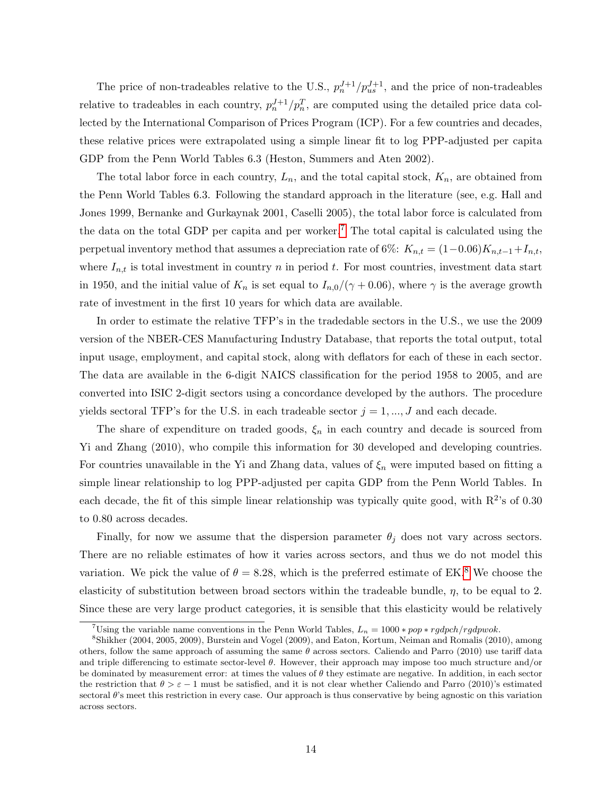The price of non-tradeables relative to the U.S.,  $p_n^{J+1}/p_{us}^{J+1}$ , and the price of non-tradeables relative to tradeables in each country,  $p_n^{J+1}/p_n^T$ , are computed using the detailed price data collected by the International Comparison of Prices Program (ICP). For a few countries and decades, these relative prices were extrapolated using a simple linear fit to log PPP-adjusted per capita GDP from the Penn World Tables 6.3 (Heston, Summers and Aten 2002).

The total labor force in each country,  $L_n$ , and the total capital stock,  $K_n$ , are obtained from the Penn World Tables 6.3. Following the standard approach in the literature (see, e.g. Hall and Jones 1999, Bernanke and Gurkaynak 2001, Caselli 2005), the total labor force is calculated from the data on the total GDP per capita and per worker.<sup>[7](#page-1-0)</sup> The total capital is calculated using the perpetual inventory method that assumes a depreciation rate of 6%:  $K_{n,t} = (1-0.06)K_{n,t-1}+I_{n,t}$ , where  $I_{n,t}$  is total investment in country n in period t. For most countries, investment data start in 1950, and the initial value of  $K_n$  is set equal to  $I_{n,0}/(\gamma + 0.06)$ , where  $\gamma$  is the average growth rate of investment in the first 10 years for which data are available.

In order to estimate the relative TFP's in the tradedable sectors in the U.S., we use the 2009 version of the NBER-CES Manufacturing Industry Database, that reports the total output, total input usage, employment, and capital stock, along with deflators for each of these in each sector. The data are available in the 6-digit NAICS classification for the period 1958 to 2005, and are converted into ISIC 2-digit sectors using a concordance developed by the authors. The procedure yields sectoral TFP's for the U.S. in each tradeable sector  $j = 1, ..., J$  and each decade.

The share of expenditure on traded goods,  $\xi_n$  in each country and decade is sourced from Yi and Zhang (2010), who compile this information for 30 developed and developing countries. For countries unavailable in the Yi and Zhang data, values of  $\xi_n$  were imputed based on fitting a simple linear relationship to log PPP-adjusted per capita GDP from the Penn World Tables. In each decade, the fit of this simple linear relationship was typically quite good, with  $R^2$ 's of 0.30 to 0.80 across decades.

Finally, for now we assume that the dispersion parameter  $\theta_i$  does not vary across sectors. There are no reliable estimates of how it varies across sectors, and thus we do not model this variation. We pick the value of  $\theta = 8.28$  $\theta = 8.28$  $\theta = 8.28$ , which is the preferred estimate of EK.<sup>8</sup> We choose the elasticity of substitution between broad sectors within the tradeable bundle,  $\eta$ , to be equal to 2. Since these are very large product categories, it is sensible that this elasticity would be relatively

<sup>&</sup>lt;sup>7</sup>Using the variable name conventions in the Penn World Tables,  $L_n = 1000 * pop * rgdpch/rgdpwok.$ 

<sup>8</sup>Shikher (2004, 2005, 2009), Burstein and Vogel (2009), and Eaton, Kortum, Neiman and Romalis (2010), among others, follow the same approach of assuming the same  $\theta$  across sectors. Caliendo and Parro (2010) use tariff data and triple differencing to estimate sector-level  $\theta$ . However, their approach may impose too much structure and/or be dominated by measurement error: at times the values of  $\theta$  they estimate are negative. In addition, in each sector the restriction that  $\theta > \varepsilon - 1$  must be satisfied, and it is not clear whether Caliendo and Parro (2010)'s estimated sectoral  $\theta$ 's meet this restriction in every case. Our approach is thus conservative by being agnostic on this variation across sectors.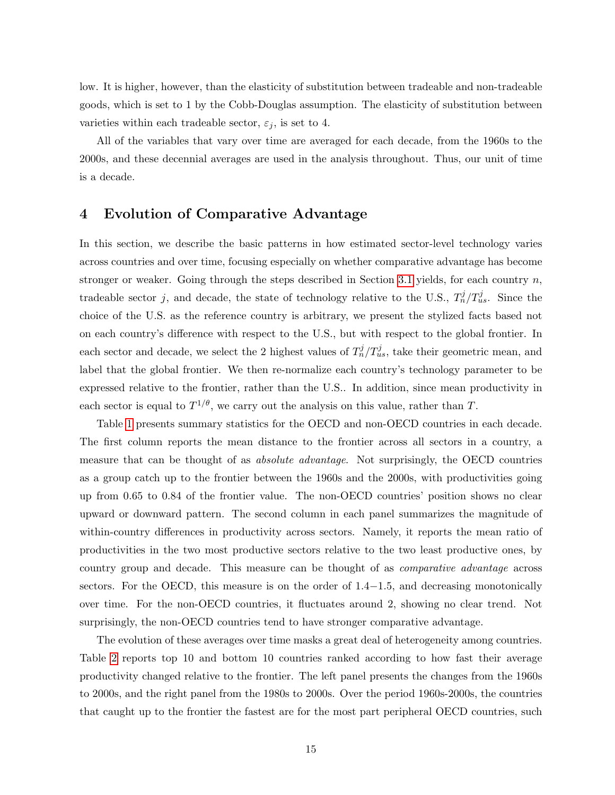low. It is higher, however, than the elasticity of substitution between tradeable and non-tradeable goods, which is set to 1 by the Cobb-Douglas assumption. The elasticity of substitution between varieties within each tradeable sector,  $\varepsilon_j$ , is set to 4.

All of the variables that vary over time are averaged for each decade, from the 1960s to the 2000s, and these decennial averages are used in the analysis throughout. Thus, our unit of time is a decade.

## <span id="page-16-0"></span>4 Evolution of Comparative Advantage

In this section, we describe the basic patterns in how estimated sector-level technology varies across countries and over time, focusing especially on whether comparative advantage has become stronger or weaker. Going through the steps described in Section [3.1](#page-10-0) yields, for each country  $n$ , tradeable sector j, and decade, the state of technology relative to the U.S.,  $T_n^j/T_{us}^j$ . Since the choice of the U.S. as the reference country is arbitrary, we present the stylized facts based not on each country's difference with respect to the U.S., but with respect to the global frontier. In each sector and decade, we select the 2 highest values of  $T_n^j/T_{us}^j$ , take their geometric mean, and label that the global frontier. We then re-normalize each country's technology parameter to be expressed relative to the frontier, rather than the U.S.. In addition, since mean productivity in each sector is equal to  $T^{1/\theta}$ , we carry out the analysis on this value, rather than T.

Table [1](#page-30-0) presents summary statistics for the OECD and non-OECD countries in each decade. The first column reports the mean distance to the frontier across all sectors in a country, a measure that can be thought of as absolute advantage. Not surprisingly, the OECD countries as a group catch up to the frontier between the 1960s and the 2000s, with productivities going up from 0.65 to 0.84 of the frontier value. The non-OECD countries' position shows no clear upward or downward pattern. The second column in each panel summarizes the magnitude of within-country differences in productivity across sectors. Namely, it reports the mean ratio of productivities in the two most productive sectors relative to the two least productive ones, by country group and decade. This measure can be thought of as *comparative advantage* across sectors. For the OECD, this measure is on the order of 1.4−1.5, and decreasing monotonically over time. For the non-OECD countries, it fluctuates around 2, showing no clear trend. Not surprisingly, the non-OECD countries tend to have stronger comparative advantage.

The evolution of these averages over time masks a great deal of heterogeneity among countries. Table [2](#page-31-0) reports top 10 and bottom 10 countries ranked according to how fast their average productivity changed relative to the frontier. The left panel presents the changes from the 1960s to 2000s, and the right panel from the 1980s to 2000s. Over the period 1960s-2000s, the countries that caught up to the frontier the fastest are for the most part peripheral OECD countries, such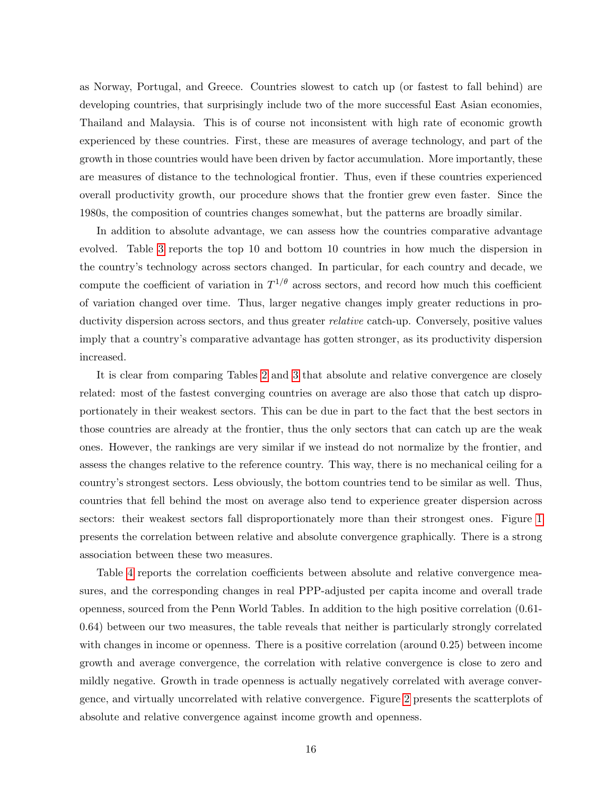as Norway, Portugal, and Greece. Countries slowest to catch up (or fastest to fall behind) are developing countries, that surprisingly include two of the more successful East Asian economies, Thailand and Malaysia. This is of course not inconsistent with high rate of economic growth experienced by these countries. First, these are measures of average technology, and part of the growth in those countries would have been driven by factor accumulation. More importantly, these are measures of distance to the technological frontier. Thus, even if these countries experienced overall productivity growth, our procedure shows that the frontier grew even faster. Since the 1980s, the composition of countries changes somewhat, but the patterns are broadly similar.

In addition to absolute advantage, we can assess how the countries comparative advantage evolved. Table [3](#page-32-0) reports the top 10 and bottom 10 countries in how much the dispersion in the country's technology across sectors changed. In particular, for each country and decade, we compute the coefficient of variation in  $T^{1/\theta}$  across sectors, and record how much this coefficient of variation changed over time. Thus, larger negative changes imply greater reductions in productivity dispersion across sectors, and thus greater relative catch-up. Conversely, positive values imply that a country's comparative advantage has gotten stronger, as its productivity dispersion increased.

It is clear from comparing Tables [2](#page-31-0) and [3](#page-32-0) that absolute and relative convergence are closely related: most of the fastest converging countries on average are also those that catch up disproportionately in their weakest sectors. This can be due in part to the fact that the best sectors in those countries are already at the frontier, thus the only sectors that can catch up are the weak ones. However, the rankings are very similar if we instead do not normalize by the frontier, and assess the changes relative to the reference country. This way, there is no mechanical ceiling for a country's strongest sectors. Less obviously, the bottom countries tend to be similar as well. Thus, countries that fell behind the most on average also tend to experience greater dispersion across sectors: their weakest sectors fall disproportionately more than their strongest ones. Figure [1](#page-37-0) presents the correlation between relative and absolute convergence graphically. There is a strong association between these two measures.

Table [4](#page-33-0) reports the correlation coefficients between absolute and relative convergence measures, and the corresponding changes in real PPP-adjusted per capita income and overall trade openness, sourced from the Penn World Tables. In addition to the high positive correlation (0.61- 0.64) between our two measures, the table reveals that neither is particularly strongly correlated with changes in income or openness. There is a positive correlation (around 0.25) between income growth and average convergence, the correlation with relative convergence is close to zero and mildly negative. Growth in trade openness is actually negatively correlated with average convergence, and virtually uncorrelated with relative convergence. Figure [2](#page-38-0) presents the scatterplots of absolute and relative convergence against income growth and openness.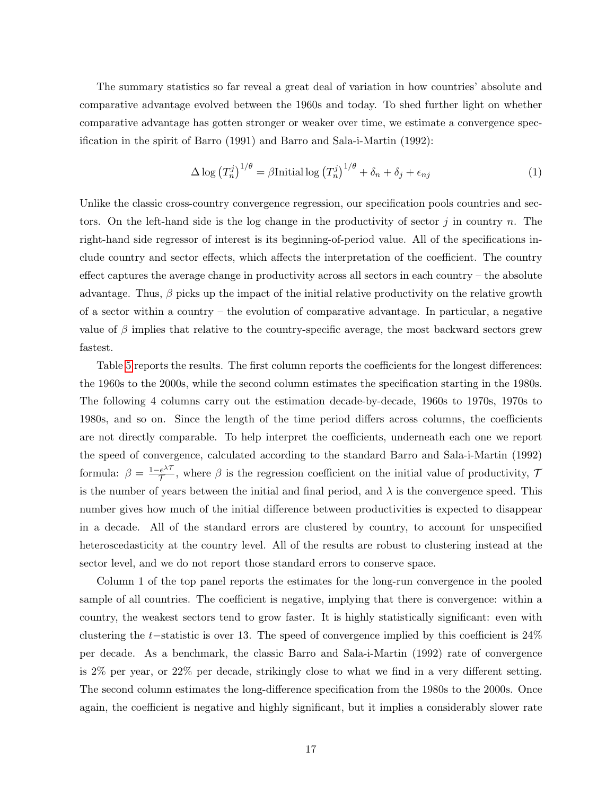The summary statistics so far reveal a great deal of variation in how countries' absolute and comparative advantage evolved between the 1960s and today. To shed further light on whether comparative advantage has gotten stronger or weaker over time, we estimate a convergence specification in the spirit of Barro (1991) and Barro and Sala-i-Martin (1992):

<span id="page-18-0"></span>
$$
\Delta \log (T_n^j)^{1/\theta} = \beta \text{Initial} \log (T_n^j)^{1/\theta} + \delta_n + \delta_j + \epsilon_{nj} \tag{1}
$$

Unlike the classic cross-country convergence regression, our specification pools countries and sectors. On the left-hand side is the log change in the productivity of sector  $j$  in country n. The right-hand side regressor of interest is its beginning-of-period value. All of the specifications include country and sector effects, which affects the interpretation of the coefficient. The country effect captures the average change in productivity across all sectors in each country – the absolute advantage. Thus,  $\beta$  picks up the impact of the initial relative productivity on the relative growth of a sector within a country – the evolution of comparative advantage. In particular, a negative value of  $\beta$  implies that relative to the country-specific average, the most backward sectors grew fastest.

Table [5](#page-34-0) reports the results. The first column reports the coefficients for the longest differences: the 1960s to the 2000s, while the second column estimates the specification starting in the 1980s. The following 4 columns carry out the estimation decade-by-decade, 1960s to 1970s, 1970s to 1980s, and so on. Since the length of the time period differs across columns, the coefficients are not directly comparable. To help interpret the coefficients, underneath each one we report the speed of convergence, calculated according to the standard Barro and Sala-i-Martin (1992) formula:  $\beta = \frac{1-e^{\lambda \tau}}{\tau}$  $\frac{e^{2\gamma}}{\gamma}$ , where  $\beta$  is the regression coefficient on the initial value of productivity,  $\gamma$ is the number of years between the initial and final period, and  $\lambda$  is the convergence speed. This number gives how much of the initial difference between productivities is expected to disappear in a decade. All of the standard errors are clustered by country, to account for unspecified heteroscedasticity at the country level. All of the results are robust to clustering instead at the sector level, and we do not report those standard errors to conserve space.

Column 1 of the top panel reports the estimates for the long-run convergence in the pooled sample of all countries. The coefficient is negative, implying that there is convergence: within a country, the weakest sectors tend to grow faster. It is highly statistically significant: even with clustering the t−statistic is over 13. The speed of convergence implied by this coefficient is 24% per decade. As a benchmark, the classic Barro and Sala-i-Martin (1992) rate of convergence is 2% per year, or 22% per decade, strikingly close to what we find in a very different setting. The second column estimates the long-difference specification from the 1980s to the 2000s. Once again, the coefficient is negative and highly significant, but it implies a considerably slower rate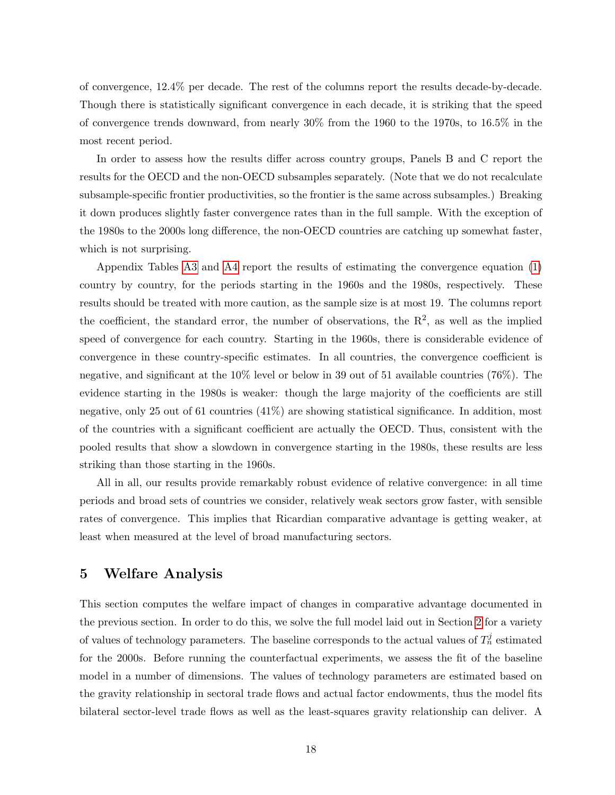of convergence, 12.4% per decade. The rest of the columns report the results decade-by-decade. Though there is statistically significant convergence in each decade, it is striking that the speed of convergence trends downward, from nearly 30% from the 1960 to the 1970s, to 16.5% in the most recent period.

In order to assess how the results differ across country groups, Panels B and C report the results for the OECD and the non-OECD subsamples separately. (Note that we do not recalculate subsample-specific frontier productivities, so the frontier is the same across subsamples.) Breaking it down produces slightly faster convergence rates than in the full sample. With the exception of the 1980s to the 2000s long difference, the non-OECD countries are catching up somewhat faster, which is not surprising.

Appendix Tables [A3](#page-32-0) and [A4](#page-33-0) report the results of estimating the convergence equation [\(1\)](#page-18-0) country by country, for the periods starting in the 1960s and the 1980s, respectively. These results should be treated with more caution, as the sample size is at most 19. The columns report the coefficient, the standard error, the number of observations, the  $R^2$ , as well as the implied speed of convergence for each country. Starting in the 1960s, there is considerable evidence of convergence in these country-specific estimates. In all countries, the convergence coefficient is negative, and significant at the 10% level or below in 39 out of 51 available countries (76%). The evidence starting in the 1980s is weaker: though the large majority of the coefficients are still negative, only 25 out of 61 countries (41%) are showing statistical significance. In addition, most of the countries with a significant coefficient are actually the OECD. Thus, consistent with the pooled results that show a slowdown in convergence starting in the 1980s, these results are less striking than those starting in the 1960s.

All in all, our results provide remarkably robust evidence of relative convergence: in all time periods and broad sets of countries we consider, relatively weak sectors grow faster, with sensible rates of convergence. This implies that Ricardian comparative advantage is getting weaker, at least when measured at the level of broad manufacturing sectors.

## <span id="page-19-0"></span>5 Welfare Analysis

This section computes the welfare impact of changes in comparative advantage documented in the previous section. In order to do this, we solve the full model laid out in Section [2](#page-5-0) for a variety of values of technology parameters. The baseline corresponds to the actual values of  $T_n^j$  estimated for the 2000s. Before running the counterfactual experiments, we assess the fit of the baseline model in a number of dimensions. The values of technology parameters are estimated based on the gravity relationship in sectoral trade flows and actual factor endowments, thus the model fits bilateral sector-level trade flows as well as the least-squares gravity relationship can deliver. A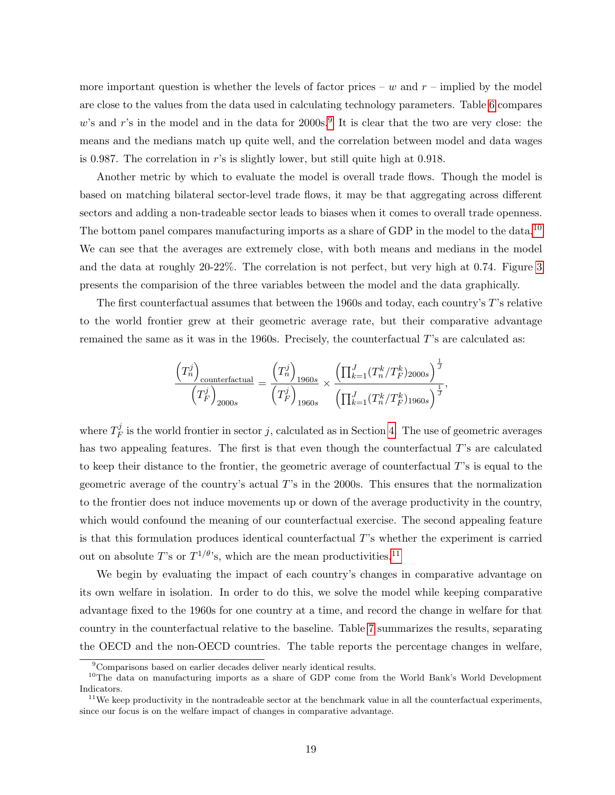more important question is whether the levels of factor prices –  $w$  and  $r$  – implied by the model are close to the values from the data used in calculating technology parameters. Table [6](#page-35-0) compares w's and r's in the model and in the data for  $2000s$ .<sup>[9](#page-1-0)</sup> It is clear that the two are very close: the means and the medians match up quite well, and the correlation between model and data wages is 0.987. The correlation in r's is slightly lower, but still quite high at 0.918.

Another metric by which to evaluate the model is overall trade flows. Though the model is based on matching bilateral sector-level trade flows, it may be that aggregating across different sectors and adding a non-tradeable sector leads to biases when it comes to overall trade openness. The bottom panel compares manufacturing imports as a share of GDP in the model to the data.<sup>[10](#page-1-0)</sup> We can see that the averages are extremely close, with both means and medians in the model and the data at roughly 20-22%. The correlation is not perfect, but very high at 0.74. Figure [3](#page-39-0) presents the comparision of the three variables between the model and the data graphically.

The first counterfactual assumes that between the 1960s and today, each country's T's relative to the world frontier grew at their geometric average rate, but their comparative advantage remained the same as it was in the 1960s. Precisely, the counterfactual T's are calculated as:

$$
\frac{\left(T_n^j\right)_{\text{counterfactual}}}{\left(T_F^j\right)_{2000s}} = \frac{\left(T_n^j\right)_{1960s}}{\left(T_F^j\right)_{1960s}} \times \frac{\left(\prod_{k=1}^J (T_n^k/T_F^k)_{2000s}\right)^{\frac{1}{J}}}{\left(\prod_{k=1}^J (T_n^k/T_F^k)_{1960s}\right)^{\frac{1}{J}}},
$$

where  $T_F^j$  $E_F^j$  is the world frontier in sector j, calculated as in Section [4.](#page-16-0) The use of geometric averages has two appealing features. The first is that even though the counterfactual T's are calculated to keep their distance to the frontier, the geometric average of counterfactual T's is equal to the geometric average of the country's actual T's in the 2000s. This ensures that the normalization to the frontier does not induce movements up or down of the average productivity in the country, which would confound the meaning of our counterfactual exercise. The second appealing feature is that this formulation produces identical counterfactual T's whether the experiment is carried out on absolute T's or  $T^{1/\theta}$ 's, which are the mean productivities.<sup>[11](#page-1-0)</sup>

We begin by evaluating the impact of each country's changes in comparative advantage on its own welfare in isolation. In order to do this, we solve the model while keeping comparative advantage fixed to the 1960s for one country at a time, and record the change in welfare for that country in the counterfactual relative to the baseline. Table [7](#page-35-1) summarizes the results, separating the OECD and the non-OECD countries. The table reports the percentage changes in welfare,

<sup>9</sup>Comparisons based on earlier decades deliver nearly identical results.

<sup>&</sup>lt;sup>10</sup>The data on manufacturing imports as a share of GDP come from the World Bank's World Development Indicators.

 $11$ We keep productivity in the nontradeable sector at the benchmark value in all the counterfactual experiments, since our focus is on the welfare impact of changes in comparative advantage.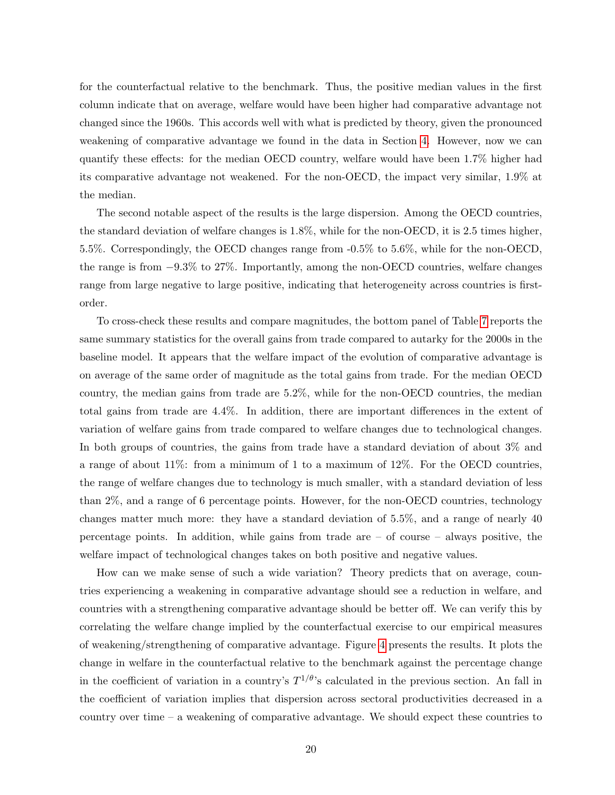for the counterfactual relative to the benchmark. Thus, the positive median values in the first column indicate that on average, welfare would have been higher had comparative advantage not changed since the 1960s. This accords well with what is predicted by theory, given the pronounced weakening of comparative advantage we found in the data in Section [4.](#page-16-0) However, now we can quantify these effects: for the median OECD country, welfare would have been 1.7% higher had its comparative advantage not weakened. For the non-OECD, the impact very similar, 1.9% at the median.

The second notable aspect of the results is the large dispersion. Among the OECD countries, the standard deviation of welfare changes is 1.8%, while for the non-OECD, it is 2.5 times higher, 5.5%. Correspondingly, the OECD changes range from -0.5% to 5.6%, while for the non-OECD, the range is from −9.3% to 27%. Importantly, among the non-OECD countries, welfare changes range from large negative to large positive, indicating that heterogeneity across countries is firstorder.

To cross-check these results and compare magnitudes, the bottom panel of Table [7](#page-35-1) reports the same summary statistics for the overall gains from trade compared to autarky for the 2000s in the baseline model. It appears that the welfare impact of the evolution of comparative advantage is on average of the same order of magnitude as the total gains from trade. For the median OECD country, the median gains from trade are 5.2%, while for the non-OECD countries, the median total gains from trade are 4.4%. In addition, there are important differences in the extent of variation of welfare gains from trade compared to welfare changes due to technological changes. In both groups of countries, the gains from trade have a standard deviation of about 3% and a range of about 11%: from a minimum of 1 to a maximum of 12%. For the OECD countries, the range of welfare changes due to technology is much smaller, with a standard deviation of less than 2%, and a range of 6 percentage points. However, for the non-OECD countries, technology changes matter much more: they have a standard deviation of 5.5%, and a range of nearly 40 percentage points. In addition, while gains from trade are – of course – always positive, the welfare impact of technological changes takes on both positive and negative values.

How can we make sense of such a wide variation? Theory predicts that on average, countries experiencing a weakening in comparative advantage should see a reduction in welfare, and countries with a strengthening comparative advantage should be better off. We can verify this by correlating the welfare change implied by the counterfactual exercise to our empirical measures of weakening/strengthening of comparative advantage. Figure [4](#page-40-0) presents the results. It plots the change in welfare in the counterfactual relative to the benchmark against the percentage change in the coefficient of variation in a country's  $T^{1/\theta}$ 's calculated in the previous section. An fall in the coefficient of variation implies that dispersion across sectoral productivities decreased in a country over time – a weakening of comparative advantage. We should expect these countries to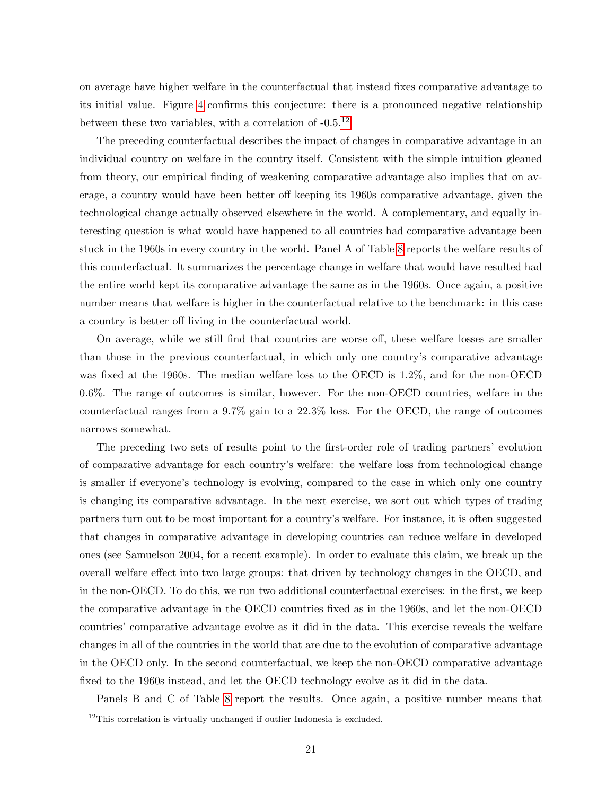on average have higher welfare in the counterfactual that instead fixes comparative advantage to its initial value. Figure [4](#page-40-0) confirms this conjecture: there is a pronounced negative relationship between these two variables, with a correlation of  $-0.5<sup>12</sup>$  $-0.5<sup>12</sup>$  $-0.5<sup>12</sup>$ 

The preceding counterfactual describes the impact of changes in comparative advantage in an individual country on welfare in the country itself. Consistent with the simple intuition gleaned from theory, our empirical finding of weakening comparative advantage also implies that on average, a country would have been better off keeping its 1960s comparative advantage, given the technological change actually observed elsewhere in the world. A complementary, and equally interesting question is what would have happened to all countries had comparative advantage been stuck in the 1960s in every country in the world. Panel A of Table [8](#page-36-0) reports the welfare results of this counterfactual. It summarizes the percentage change in welfare that would have resulted had the entire world kept its comparative advantage the same as in the 1960s. Once again, a positive number means that welfare is higher in the counterfactual relative to the benchmark: in this case a country is better off living in the counterfactual world.

On average, while we still find that countries are worse off, these welfare losses are smaller than those in the previous counterfactual, in which only one country's comparative advantage was fixed at the 1960s. The median welfare loss to the OECD is 1.2%, and for the non-OECD 0.6%. The range of outcomes is similar, however. For the non-OECD countries, welfare in the counterfactual ranges from a 9.7% gain to a 22.3% loss. For the OECD, the range of outcomes narrows somewhat.

The preceding two sets of results point to the first-order role of trading partners' evolution of comparative advantage for each country's welfare: the welfare loss from technological change is smaller if everyone's technology is evolving, compared to the case in which only one country is changing its comparative advantage. In the next exercise, we sort out which types of trading partners turn out to be most important for a country's welfare. For instance, it is often suggested that changes in comparative advantage in developing countries can reduce welfare in developed ones (see Samuelson 2004, for a recent example). In order to evaluate this claim, we break up the overall welfare effect into two large groups: that driven by technology changes in the OECD, and in the non-OECD. To do this, we run two additional counterfactual exercises: in the first, we keep the comparative advantage in the OECD countries fixed as in the 1960s, and let the non-OECD countries' comparative advantage evolve as it did in the data. This exercise reveals the welfare changes in all of the countries in the world that are due to the evolution of comparative advantage in the OECD only. In the second counterfactual, we keep the non-OECD comparative advantage fixed to the 1960s instead, and let the OECD technology evolve as it did in the data.

Panels B and C of Table [8](#page-36-0) report the results. Once again, a positive number means that

 $12$ This correlation is virtually unchanged if outlier Indonesia is excluded.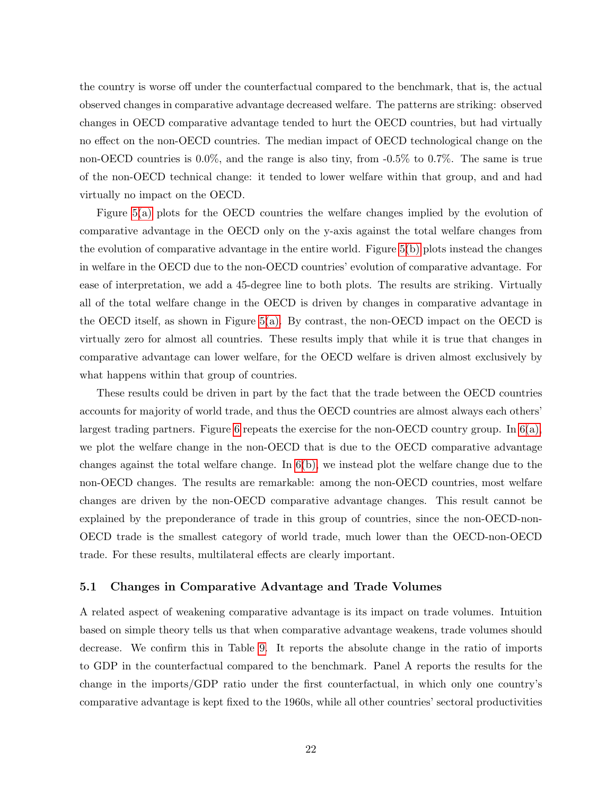the country is worse off under the counterfactual compared to the benchmark, that is, the actual observed changes in comparative advantage decreased welfare. The patterns are striking: observed changes in OECD comparative advantage tended to hurt the OECD countries, but had virtually no effect on the non-OECD countries. The median impact of OECD technological change on the non-OECD countries is 0.0%, and the range is also tiny, from -0.5% to 0.7%. The same is true of the non-OECD technical change: it tended to lower welfare within that group, and and had virtually no impact on the OECD.

Figure [5\(a\)](#page-41-0) plots for the OECD countries the welfare changes implied by the evolution of comparative advantage in the OECD only on the y-axis against the total welfare changes from the evolution of comparative advantage in the entire world. Figure [5\(b\)](#page-41-2) plots instead the changes in welfare in the OECD due to the non-OECD countries' evolution of comparative advantage. For ease of interpretation, we add a 45-degree line to both plots. The results are striking. Virtually all of the total welfare change in the OECD is driven by changes in comparative advantage in the OECD itself, as shown in Figure [5\(a\).](#page-41-0) By contrast, the non-OECD impact on the OECD is virtually zero for almost all countries. These results imply that while it is true that changes in comparative advantage can lower welfare, for the OECD welfare is driven almost exclusively by what happens within that group of countries.

These results could be driven in part by the fact that the trade between the OECD countries accounts for majority of world trade, and thus the OECD countries are almost always each others' largest trading partners. Figure [6](#page-42-0) repeats the exercise for the non-OECD country group. In  $6(a)$ , we plot the welfare change in the non-OECD that is due to the OECD comparative advantage changes against the total welfare change. In [6\(b\),](#page-42-2) we instead plot the welfare change due to the non-OECD changes. The results are remarkable: among the non-OECD countries, most welfare changes are driven by the non-OECD comparative advantage changes. This result cannot be explained by the preponderance of trade in this group of countries, since the non-OECD-non-OECD trade is the smallest category of world trade, much lower than the OECD-non-OECD trade. For these results, multilateral effects are clearly important.

#### 5.1 Changes in Comparative Advantage and Trade Volumes

A related aspect of weakening comparative advantage is its impact on trade volumes. Intuition based on simple theory tells us that when comparative advantage weakens, trade volumes should decrease. We confirm this in Table [9.](#page-36-1) It reports the absolute change in the ratio of imports to GDP in the counterfactual compared to the benchmark. Panel A reports the results for the change in the imports/GDP ratio under the first counterfactual, in which only one country's comparative advantage is kept fixed to the 1960s, while all other countries' sectoral productivities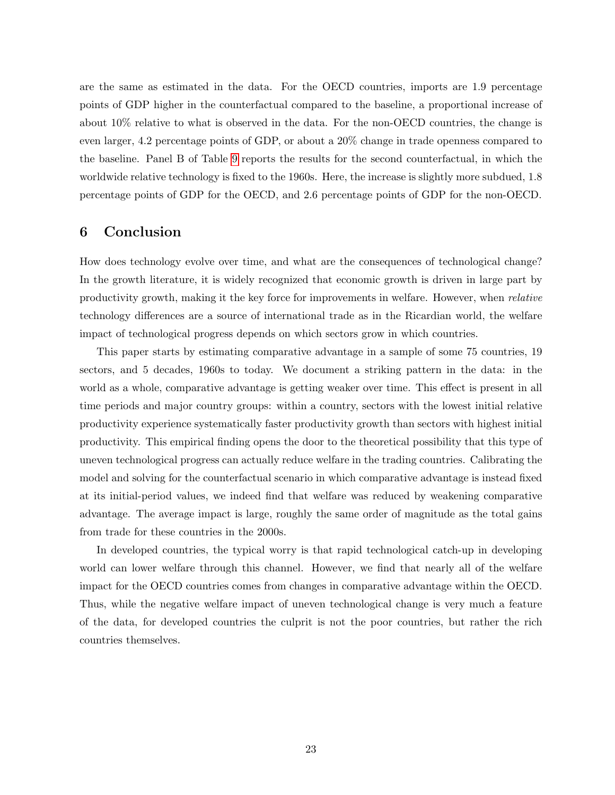are the same as estimated in the data. For the OECD countries, imports are 1.9 percentage points of GDP higher in the counterfactual compared to the baseline, a proportional increase of about 10% relative to what is observed in the data. For the non-OECD countries, the change is even larger, 4.2 percentage points of GDP, or about a 20% change in trade openness compared to the baseline. Panel B of Table [9](#page-36-1) reports the results for the second counterfactual, in which the worldwide relative technology is fixed to the 1960s. Here, the increase is slightly more subdued, 1.8 percentage points of GDP for the OECD, and 2.6 percentage points of GDP for the non-OECD.

## <span id="page-24-0"></span>6 Conclusion

How does technology evolve over time, and what are the consequences of technological change? In the growth literature, it is widely recognized that economic growth is driven in large part by productivity growth, making it the key force for improvements in welfare. However, when relative technology differences are a source of international trade as in the Ricardian world, the welfare impact of technological progress depends on which sectors grow in which countries.

This paper starts by estimating comparative advantage in a sample of some 75 countries, 19 sectors, and 5 decades, 1960s to today. We document a striking pattern in the data: in the world as a whole, comparative advantage is getting weaker over time. This effect is present in all time periods and major country groups: within a country, sectors with the lowest initial relative productivity experience systematically faster productivity growth than sectors with highest initial productivity. This empirical finding opens the door to the theoretical possibility that this type of uneven technological progress can actually reduce welfare in the trading countries. Calibrating the model and solving for the counterfactual scenario in which comparative advantage is instead fixed at its initial-period values, we indeed find that welfare was reduced by weakening comparative advantage. The average impact is large, roughly the same order of magnitude as the total gains from trade for these countries in the 2000s.

In developed countries, the typical worry is that rapid technological catch-up in developing world can lower welfare through this channel. However, we find that nearly all of the welfare impact for the OECD countries comes from changes in comparative advantage within the OECD. Thus, while the negative welfare impact of uneven technological change is very much a feature of the data, for developed countries the culprit is not the poor countries, but rather the rich countries themselves.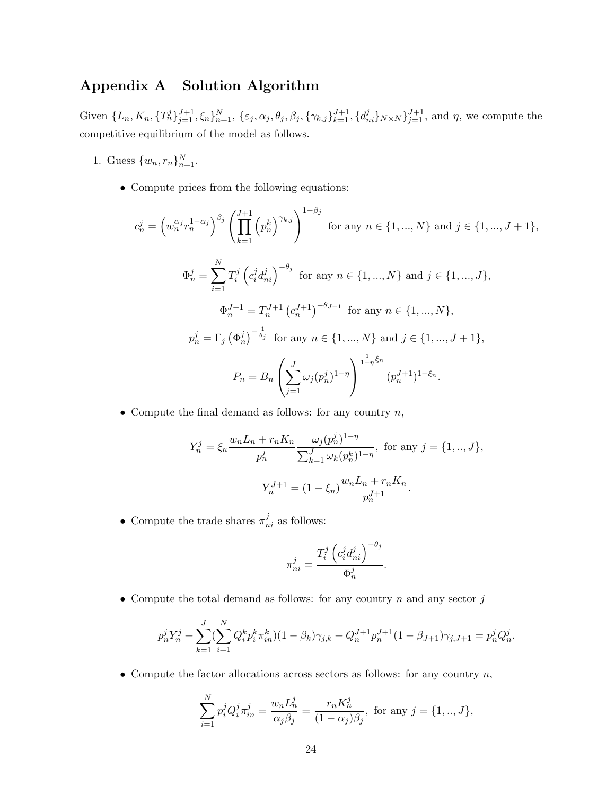## <span id="page-25-0"></span>Appendix A Solution Algorithm

Given  $\{L_n, K_n, \{T_n^j\}_{j=1}^{J+1}, \xi_n\}_{n=1}^N, \{\varepsilon_j, \alpha_j, \theta_j, \beta_j, \{\gamma_{k,j}\}_{k=1}^{J+1}, \{d_{ni}^j\}_{N\times N}\}_{j=1}^{J+1},$  and  $\eta$ , we compute the competitive equilibrium of the model as follows.

- 1. Guess  $\{w_n, r_n\}_{n=1}^N$ .
	- Compute prices from the following equations:

$$
c_n^j = \left(w_n^{\alpha_j} r_n^{1-\alpha_j}\right)^{\beta_j} \left(\prod_{k=1}^{J+1} \left(p_n^k\right)^{\gamma_{k,j}}\right)^{1-\beta_j} \text{ for any } n \in \{1, ..., N\} \text{ and } j \in \{1, ..., J+1\},
$$
  

$$
\Phi_n^j = \sum_{i=1}^N T_i^j \left(c_i^j d_{ni}^j\right)^{-\theta_j} \text{ for any } n \in \{1, ..., N\} \text{ and } j \in \{1, ..., J\},
$$
  

$$
\Phi_n^{J+1} = T_n^{J+1} \left(c_n^{J+1}\right)^{-\theta_{J+1}} \text{ for any } n \in \{1, ..., N\},
$$
  

$$
p_n^j = \Gamma_j \left(\Phi_n^j\right)^{-\frac{1}{\theta_j}} \text{ for any } n \in \{1, ..., N\} \text{ and } j \in \{1, ..., J+1\},
$$
  

$$
P_n = B_n \left(\sum_{j=1}^J \omega_j(p_n^j)^{1-\eta}\right)^{\frac{1}{1-\eta}\xi_n} (p_n^{J+1})^{1-\xi_n}.
$$

• Compute the final demand as follows: for any country  $n$ ,

$$
Y_n^j = \xi_n \frac{w_n L_n + r_n K_n}{p_n^j} \frac{\omega_j (p_n^j)^{1-\eta}}{\sum_{k=1}^J \omega_k (p_n^k)^{1-\eta}}, \text{ for any } j = \{1, ..., J\},
$$

$$
Y_n^{J+1} = (1 - \xi_n) \frac{w_n L_n + r_n K_n}{p_n^{J+1}}.
$$

• Compute the trade shares  $\pi_{ni}^j$  as follows:

$$
\pi_{ni}^j = \frac{T_i^j \left( c_i^j d_{ni}^j \right)^{-\theta_j}}{\Phi_n^j}.
$$

• Compute the total demand as follows: for any country  $n$  and any sector  $j$ 

$$
p_n^j Y_n^j + \sum_{k=1}^J (\sum_{i=1}^N Q_i^k p_i^k \pi_{in}^k)(1 - \beta_k) \gamma_{j,k} + Q_n^{J+1} p_n^{J+1} (1 - \beta_{J+1}) \gamma_{j,J+1} = p_n^j Q_n^j.
$$

• Compute the factor allocations across sectors as follows: for any country  $n$ ,

$$
\sum_{i=1}^{N} p_i^j Q_i^j \pi_{in}^j = \frac{w_n L_n^j}{\alpha_j \beta_j} = \frac{r_n K_n^j}{(1 - \alpha_j)\beta_j}, \text{ for any } j = \{1, ..., J\},\
$$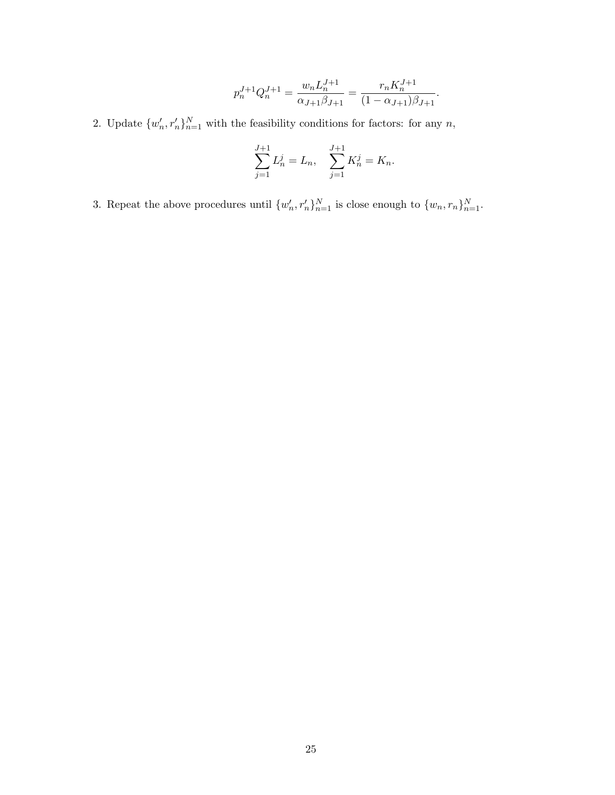$$
p_n^{J+1} Q_n^{J+1} = \frac{w_n L_n^{J+1}}{\alpha_{J+1} \beta_{J+1}} = \frac{r_n K_n^{J+1}}{(1 - \alpha_{J+1}) \beta_{J+1}}.
$$

2. Update  $\{w'_n, r'_n\}_{n=1}^N$  with the feasibility conditions for factors: for any n,

$$
\sum_{j=1}^{J+1} L_n^j = L_n, \quad \sum_{j=1}^{J+1} K_n^j = K_n.
$$

3. Repeat the above procedures until  $\{w'_n, r'_n\}_{n=1}^N$  is close enough to  $\{w_n, r_n\}_{n=1}^N$ .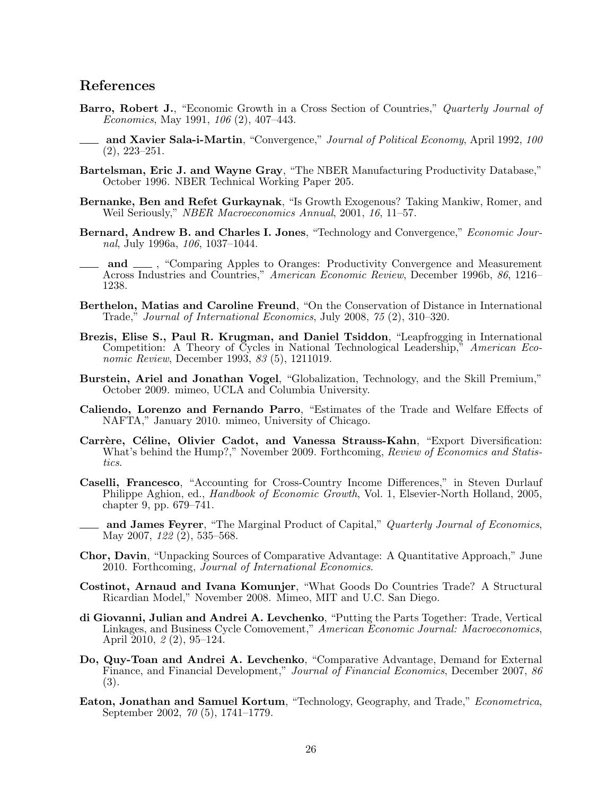### References

- Barro, Robert J., "Economic Growth in a Cross Section of Countries," Quarterly Journal of Economics, May 1991, 106 (2), 407–443.
- **and Xavier Sala-i-Martin**, "Convergence," *Journal of Political Economy*, April 1992, 100 (2), 223–251.
- Bartelsman, Eric J. and Wayne Gray, "The NBER Manufacturing Productivity Database," October 1996. NBER Technical Working Paper 205.
- Bernanke, Ben and Refet Gurkaynak, "Is Growth Exogenous? Taking Mankiw, Romer, and Weil Seriously," NBER Macroeconomics Annual, 2001, 16, 11–57.
- Bernard, Andrew B. and Charles I. Jones, "Technology and Convergence," *Economic Jour*nal, July 1996a, 106, 1037–1044.
- and  $\mu$ , "Comparing Apples to Oranges: Productivity Convergence and Measurement Across Industries and Countries," American Economic Review, December 1996b, 86, 1216– 1238.
- Berthelon, Matias and Caroline Freund, "On the Conservation of Distance in International Trade," Journal of International Economics, July 2008, 75 (2), 310–320.
- Brezis, Elise S., Paul R. Krugman, and Daniel Tsiddon, "Leapfrogging in International Competition: A Theory of Cycles in National Technological Leadership," American Economic Review, December 1993, 83 (5), 1211019.
- Burstein, Ariel and Jonathan Vogel, "Globalization, Technology, and the Skill Premium," October 2009. mimeo, UCLA and Columbia University.
- Caliendo, Lorenzo and Fernando Parro, "Estimates of the Trade and Welfare Effects of NAFTA," January 2010. mimeo, University of Chicago.
- Carrère, Céline, Olivier Cadot, and Vanessa Strauss-Kahn, "Export Diversification: What's behind the Hump?," November 2009. Forthcoming, Review of Economics and Statistics.
- Caselli, Francesco, "Accounting for Cross-Country Income Differences," in Steven Durlauf Philippe Aghion, ed., *Handbook of Economic Growth*, Vol. 1, Elsevier-North Holland, 2005, chapter 9, pp. 679–741.
- and James Feyrer, "The Marginal Product of Capital," Quarterly Journal of Economics, May 2007,  $122\,(2)$ , 535–568.
- Chor, Davin, "Unpacking Sources of Comparative Advantage: A Quantitative Approach," June 2010. Forthcoming, Journal of International Economics.
- Costinot, Arnaud and Ivana Komunjer, "What Goods Do Countries Trade? A Structural Ricardian Model," November 2008. Mimeo, MIT and U.C. San Diego.
- di Giovanni, Julian and Andrei A. Levchenko, "Putting the Parts Together: Trade, Vertical Linkages, and Business Cycle Comovement," American Economic Journal: Macroeconomics, April 2010, 2 (2), 95–124.
- Do, Quy-Toan and Andrei A. Levchenko, "Comparative Advantage, Demand for External Finance, and Financial Development," Journal of Financial Economics, December 2007, 86 (3).
- Eaton, Jonathan and Samuel Kortum, "Technology, Geography, and Trade," Econometrica, September 2002, 70 (5), 1741–1779.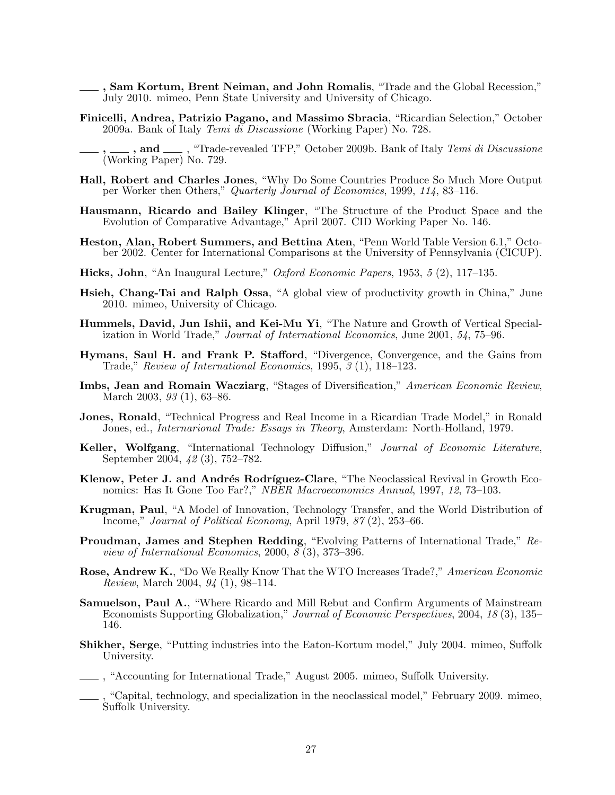- , Sam Kortum, Brent Neiman, and John Romalis, "Trade and the Global Recession," July 2010. mimeo, Penn State University and University of Chicago.
- Finicelli, Andrea, Patrizio Pagano, and Massimo Sbracia, "Ricardian Selection," October 2009a. Bank of Italy Temi di Discussione (Working Paper) No. 728.

- Hall, Robert and Charles Jones, "Why Do Some Countries Produce So Much More Output per Worker then Others," Quarterly Journal of Economics, 1999, 114, 83–116.
- Hausmann, Ricardo and Bailey Klinger, "The Structure of the Product Space and the Evolution of Comparative Advantage," April 2007. CID Working Paper No. 146.
- Heston, Alan, Robert Summers, and Bettina Aten, "Penn World Table Version 6.1," October 2002. Center for International Comparisons at the University of Pennsylvania (CICUP).
- Hicks, John, "An Inaugural Lecture," Oxford Economic Papers, 1953, 5 (2), 117–135.
- Hsieh, Chang-Tai and Ralph Ossa, "A global view of productivity growth in China," June 2010. mimeo, University of Chicago.
- Hummels, David, Jun Ishii, and Kei-Mu Yi, "The Nature and Growth of Vertical Specialization in World Trade," Journal of International Economics, June 2001, 54, 75–96.
- Hymans, Saul H. and Frank P. Stafford, "Divergence, Convergence, and the Gains from Trade," Review of International Economics, 1995, 3 (1), 118–123.
- Imbs, Jean and Romain Wacziarg, "Stages of Diversification," American Economic Review, March 2003, 93 (1), 63–86.
- Jones, Ronald, "Technical Progress and Real Income in a Ricardian Trade Model," in Ronald Jones, ed., Internarional Trade: Essays in Theory, Amsterdam: North-Holland, 1979.
- Keller, Wolfgang, "International Technology Diffusion," Journal of Economic Literature, September 2004, 42 (3), 752–782.
- Klenow, Peter J. and Andrés Rodríguez-Clare, "The Neoclassical Revival in Growth Economics: Has It Gone Too Far?," NBER Macroeconomics Annual, 1997, 12, 73–103.
- Krugman, Paul, "A Model of Innovation, Technology Transfer, and the World Distribution of Income," Journal of Political Economy, April 1979, 87 (2), 253–66.
- Proudman, James and Stephen Redding, "Evolving Patterns of International Trade," Review of International Economics, 2000,  $\overline{\mathcal{S}}(3)$ , 373–396.
- Rose, Andrew K., "Do We Really Know That the WTO Increases Trade?," American Economic Review, March 2004, 94 (1), 98–114.
- Samuelson, Paul A., "Where Ricardo and Mill Rebut and Confirm Arguments of Mainstream Economists Supporting Globalization," Journal of Economic Perspectives, 2004, 18 (3), 135– 146.
- Shikher, Serge, "Putting industries into the Eaton-Kortum model," July 2004. mimeo, Suffolk University.
- , "Accounting for International Trade," August 2005. mimeo, Suffolk University.
- , "Capital, technology, and specialization in the neoclassical model," February 2009. mimeo, Suffolk University.

<sup>,</sup> and  $\_\_\$ , "Trade-revealed TFP," October 2009b. Bank of Italy Temi di Discussione (Working Paper) No. 729.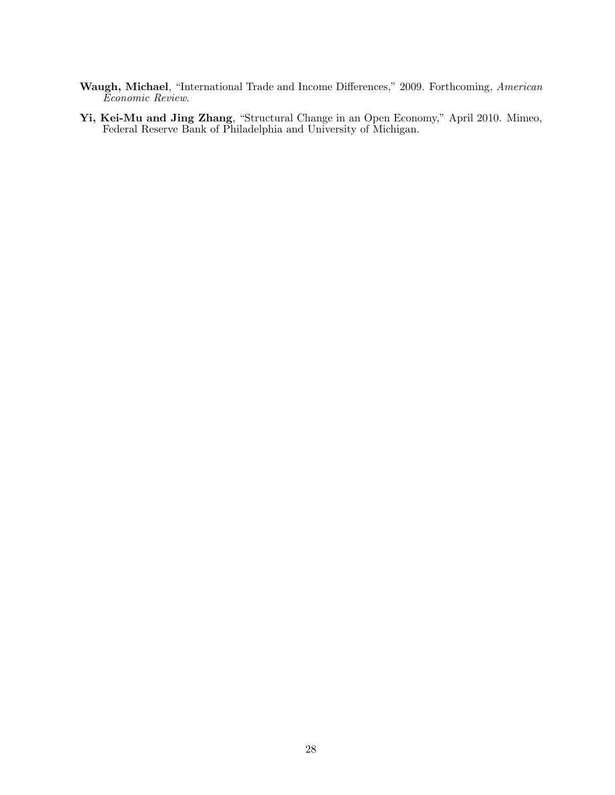- Waugh, Michael, "International Trade and Income Differences," 2009. Forthcoming, American Economic Review.
- Yi, Kei-Mu and Jing Zhang, "Structural Change in an Open Economy," April 2010. Mimeo, Federal Reserve Bank of Philadelphia and University of Michigan.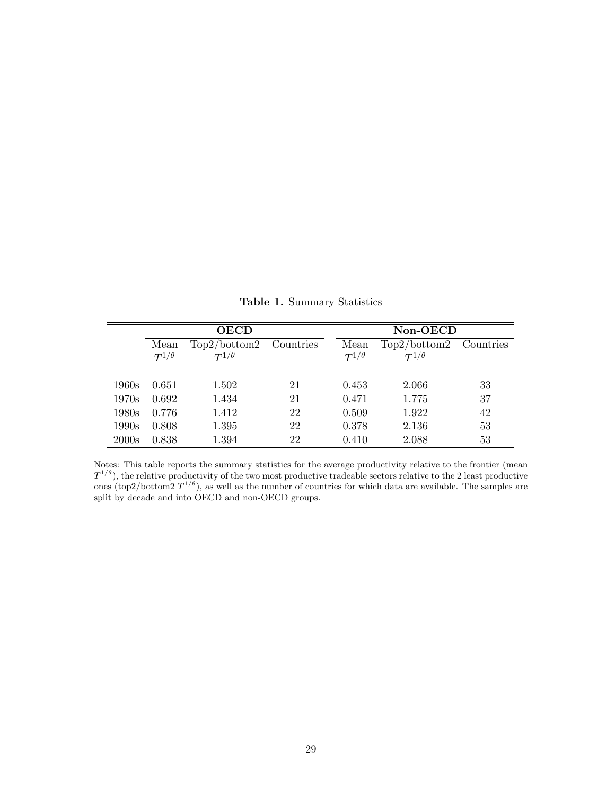|       |                        | <b>OECD</b>                    |           | Non-OECD               |                                |           |  |
|-------|------------------------|--------------------------------|-----------|------------------------|--------------------------------|-----------|--|
|       | Mean<br>$T^{1/\theta}$ | Top2/bottom2<br>$T^{1/\theta}$ | Countries | Mean<br>$T^{1/\theta}$ | Top2/bottom2<br>$T^{1/\theta}$ | Countries |  |
| 1960s | 0.651                  | 1.502                          | 21        | 0.453                  | 2.066                          | 33        |  |
| 1970s | 0.692                  | 1.434                          | 21        | 0.471                  | 1.775                          | 37        |  |
| 1980s | 0.776                  | 1.412                          | 22        | 0.509                  | 1.922                          | 42        |  |
| 1990s | 0.808                  | 1.395                          | 22        | 0.378                  | 2.136                          | 53        |  |
| 2000s | 0.838                  | 1.394                          | 22        | 0.410                  | 2.088                          | 53        |  |

<span id="page-30-0"></span>Table 1. Summary Statistics

Notes: This table reports the summary statistics for the average productivity relative to the frontier (mean  $T^{1/\theta}$ ), the relative productivity of the two most productive tradeable sectors relative to the 2 least productive ones (top2/bottom2  $T^{1/\theta}$ ), as well as the number of countries for which data are available. The samples are split by decade and into OECD and non-OECD groups.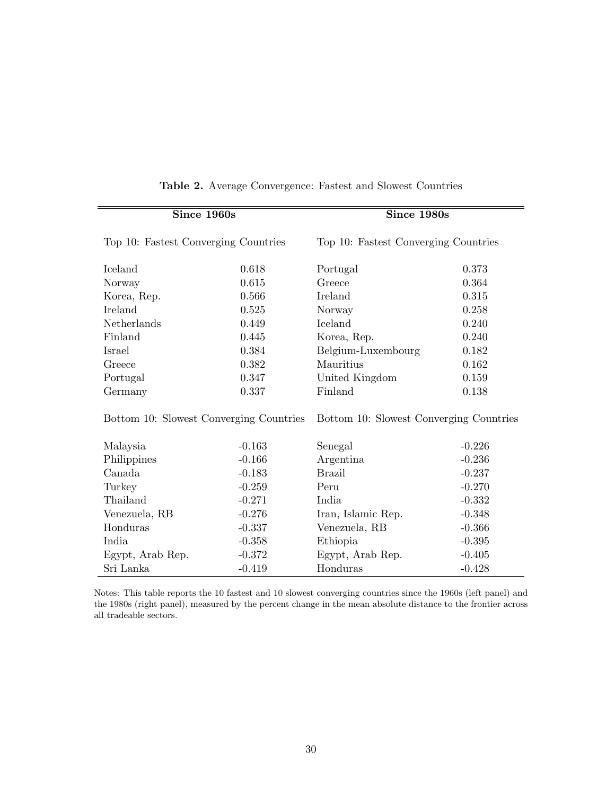| Since 1960s                             |          | Since 1980s                             |          |  |
|-----------------------------------------|----------|-----------------------------------------|----------|--|
| Top 10: Fastest Converging Countries    |          | Top 10: Fastest Converging Countries    |          |  |
| Iceland                                 | 0.618    | Portugal                                | 0.373    |  |
| Norway                                  | 0.615    | Greece                                  | 0.364    |  |
| Korea, Rep.                             | 0.566    | Ireland                                 | 0.315    |  |
| Ireland                                 | 0.525    | Norway                                  | 0.258    |  |
| Netherlands                             | 0.449    | Iceland                                 | 0.240    |  |
| Finland                                 | 0.445    | Korea, Rep.                             | 0.240    |  |
| Israel                                  | 0.384    | Belgium-Luxembourg                      | 0.182    |  |
| Greece                                  | 0.382    | Mauritius                               | 0.162    |  |
| Portugal                                | 0.347    | United Kingdom                          | 0.159    |  |
| Germany                                 | 0.337    | Finland                                 | 0.138    |  |
| Bottom 10: Slowest Converging Countries |          | Bottom 10: Slowest Converging Countries |          |  |
| Malaysia                                | $-0.163$ | Senegal                                 | $-0.226$ |  |
| Philippines                             | $-0.166$ | Argentina                               | $-0.236$ |  |
| Canada                                  | $-0.183$ | <b>Brazil</b>                           | $-0.237$ |  |
| Turkey                                  | $-0.259$ | Peru                                    | $-0.270$ |  |
| Thailand                                | $-0.271$ | India                                   | $-0.332$ |  |
| Venezuela, RB                           | $-0.276$ | Iran, Islamic Rep.                      | $-0.348$ |  |
| Honduras                                | $-0.337$ | Venezuela, RB                           | $-0.366$ |  |
| India                                   | $-0.358$ | Ethiopia                                | $-0.395$ |  |
| Egypt, Arab Rep.                        | $-0.372$ | Egypt, Arab Rep.                        | $-0.405$ |  |
| Sri Lanka                               | $-0.419$ | Honduras                                | $-0.428$ |  |

#### <span id="page-31-0"></span>Table 2. Average Convergence: Fastest and Slowest Countries

Notes: This table reports the 10 fastest and 10 slowest converging countries since the 1960s (left panel) and the 1980s (right panel), measured by the percent change in the mean absolute distance to the frontier across all tradeable sectors.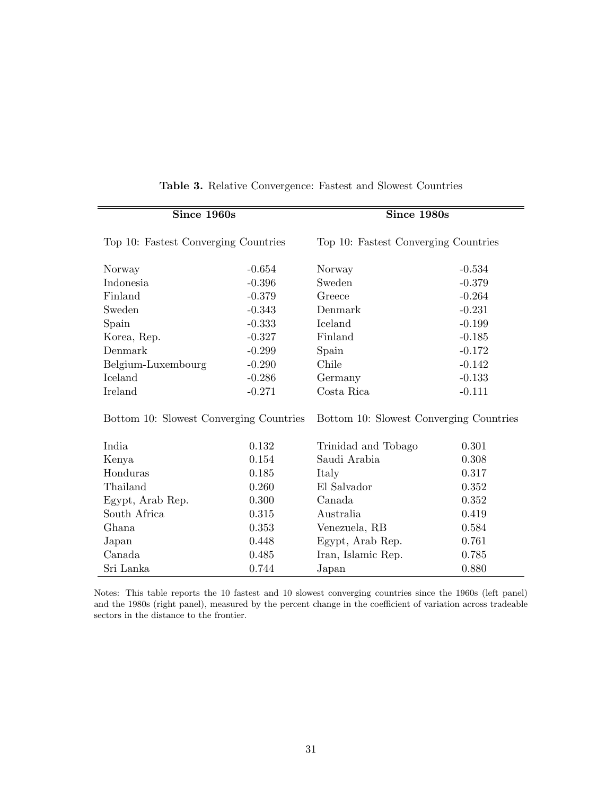| Since 1960s                             |          | Since 1980s                             |          |  |
|-----------------------------------------|----------|-----------------------------------------|----------|--|
| Top 10: Fastest Converging Countries    |          | Top 10: Fastest Converging Countries    |          |  |
| Norway                                  | $-0.654$ | Norway                                  | $-0.534$ |  |
| Indonesia                               | $-0.396$ | Sweden                                  | $-0.379$ |  |
| Finland                                 | $-0.379$ | Greece                                  | $-0.264$ |  |
| Sweden                                  | $-0.343$ | Denmark                                 | $-0.231$ |  |
| Spain                                   | $-0.333$ | Iceland                                 | $-0.199$ |  |
| Korea, Rep.                             | $-0.327$ | Finland                                 | $-0.185$ |  |
| Denmark                                 | $-0.299$ | Spain                                   | $-0.172$ |  |
| Belgium-Luxembourg                      | $-0.290$ | Chile                                   | $-0.142$ |  |
| Iceland                                 | $-0.286$ | Germany                                 | $-0.133$ |  |
| Ireland                                 | $-0.271$ | Costa Rica                              | $-0.111$ |  |
| Bottom 10: Slowest Converging Countries |          | Bottom 10: Slowest Converging Countries |          |  |
| India                                   | 0.132    | Trinidad and Tobago                     | 0.301    |  |
| Kenya                                   | 0.154    | Saudi Arabia                            | 0.308    |  |
| Honduras                                | 0.185    | Italy                                   | 0.317    |  |
| Thailand                                | 0.260    | El Salvador                             | 0.352    |  |
| Egypt, Arab Rep.                        | 0.300    | Canada                                  | 0.352    |  |
| South Africa                            | 0.315    | Australia                               | 0.419    |  |
| Ghana                                   | 0.353    | Venezuela, RB                           | 0.584    |  |
| Japan                                   | 0.448    | Egypt, Arab Rep.                        | 0.761    |  |
| Canada                                  | 0.485    | Iran, Islamic Rep.                      | 0.785    |  |
| Sri Lanka                               | 0.744    | Japan                                   | 0.880    |  |

#### <span id="page-32-0"></span>Table 3. Relative Convergence: Fastest and Slowest Countries

Notes: This table reports the 10 fastest and 10 slowest converging countries since the 1960s (left panel) and the 1980s (right panel), measured by the percent change in the coefficient of variation across tradeable sectors in the distance to the frontier.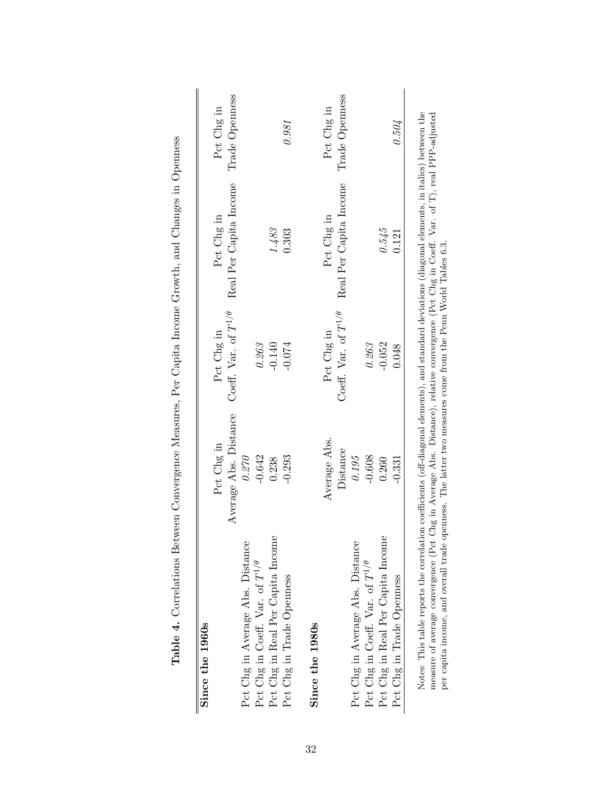<span id="page-33-0"></span>

| Since the 1960s                                                                                                                                                                                                                                                                                                                                                                                                |                       |                               |                        |                |
|----------------------------------------------------------------------------------------------------------------------------------------------------------------------------------------------------------------------------------------------------------------------------------------------------------------------------------------------------------------------------------------------------------------|-----------------------|-------------------------------|------------------------|----------------|
|                                                                                                                                                                                                                                                                                                                                                                                                                | Pct Chg in            | Pct Chg in                    | Pct Chg in             | Pct Chg in     |
|                                                                                                                                                                                                                                                                                                                                                                                                                | Average Abs. Distance | Coeff. Var. of $T^{1/\theta}$ | Real Per Capita Income | Trade Openness |
| Pct Chg in Average Abs. Distance                                                                                                                                                                                                                                                                                                                                                                               | 0.270                 |                               |                        |                |
| Pct Chg in Coeff. Var. of $T^{1/\theta}$                                                                                                                                                                                                                                                                                                                                                                       | $-0.642$              | $0.263\,$                     |                        |                |
| Pct Chg in Real Per Capita Income                                                                                                                                                                                                                                                                                                                                                                              | 0.238                 | $-0.140$                      | 1.483                  |                |
| Pct Chg in Trade Openness                                                                                                                                                                                                                                                                                                                                                                                      | $-0.293$              | $-0.074$                      | 0.303                  | 0.981          |
| Since the 1980s                                                                                                                                                                                                                                                                                                                                                                                                |                       |                               |                        |                |
|                                                                                                                                                                                                                                                                                                                                                                                                                | Average Abs.          | Pct Chg in                    | Pct Chg in             | Pct Chg in     |
|                                                                                                                                                                                                                                                                                                                                                                                                                | Distance              | Coeff. Var. of $T^{1/\theta}$ | Real Per Capita Income | Trade Openness |
| Pct Chg in Average Abs. Distance                                                                                                                                                                                                                                                                                                                                                                               | 0.195                 |                               |                        |                |
| Pct Chg in Coeff. Var. of $T^{1/\theta}$                                                                                                                                                                                                                                                                                                                                                                       | $-0.608$              | 0.263                         |                        |                |
| Pct Chg in Real Per Capita Income                                                                                                                                                                                                                                                                                                                                                                              | 0.260                 | $-0.052$                      | 0.545                  |                |
| Pct Chg in Trade Openness                                                                                                                                                                                                                                                                                                                                                                                      | $-0.331$              | 0.048                         | 0.121                  | 0.504          |
| Notes: This table reports the correlation coefficients (off-diagonal elements), and standard deviations (diagonal elements, in italics) between the<br>measure of average convergence (Pct Chg in Average Abs. Distance), relative convergence (Pct Chg in Coeff. Var. of T), real PPP-adjusted<br>per capita income, and overall trade openness. The latter two measures come from the Penn World Tables 6.3. |                       |                               |                        |                |

Table 4. Correlations Between Convergence Measures, Per Capita Income Growth, and Changes in Openness Table 4. Correlations Between Convergence Measures, Per Capita Income Growth, and Changes in Openness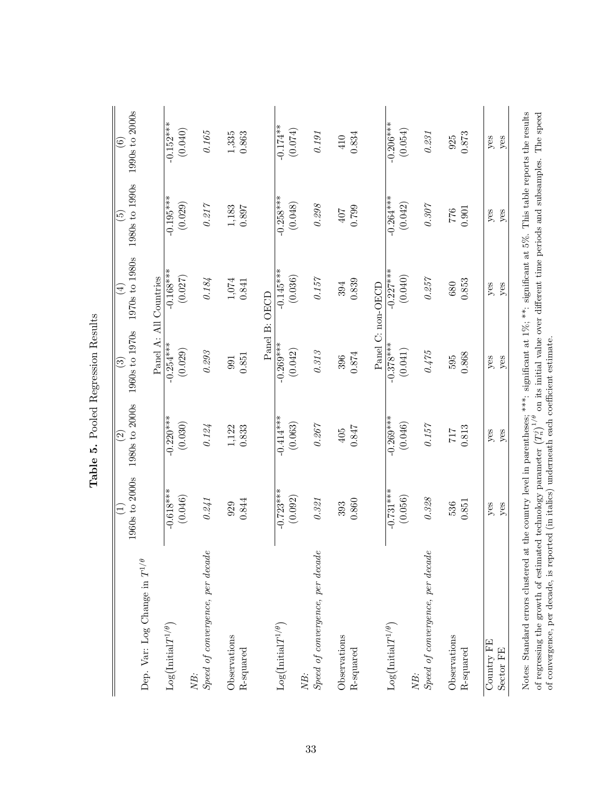<span id="page-34-0"></span>

|                                                                                                                                                                                                                              | 1960s to 2000s                                                                                                             | 1980s to 2000s           | 1960s to 1970s                                                             | 1970s to 1980s         | 1980s to 1990s           | 1990s to 2000s     |
|------------------------------------------------------------------------------------------------------------------------------------------------------------------------------------------------------------------------------|----------------------------------------------------------------------------------------------------------------------------|--------------------------|----------------------------------------------------------------------------|------------------------|--------------------------|--------------------|
|                                                                                                                                                                                                                              | Ξ                                                                                                                          | $\widehat{\mathfrak{O}}$ | ⊙                                                                          | $\bigoplus$            | $\widetilde{\mathbf{e}}$ | $\widehat{\circ}$  |
| Dep. Var: Log Change in $T^{1/\theta}$                                                                                                                                                                                       |                                                                                                                            |                          |                                                                            | Panel A: All Countries |                          |                    |
| $\text{Log}\big(\text{Initial}T^{1/\theta}\big)$                                                                                                                                                                             | $-0.618***$                                                                                                                | $-0.220$ ***             | $-0.254***$                                                                | $-0.168***$            | $-0.195***$              | $-0.152***$        |
|                                                                                                                                                                                                                              | (0.046)                                                                                                                    | (0.030)                  | (0.029)                                                                    | (0.027)                | (0.029)                  | (0.040)            |
| Speed of convergence, per decade<br>NB:                                                                                                                                                                                      | 0.241                                                                                                                      | $0.124\,$                | $0.293\,$                                                                  | $0.184\,$              | $0.217$                  | $0.165\,$          |
| Observations                                                                                                                                                                                                                 | 0.844                                                                                                                      | $1,122$                  | 0.851                                                                      | $1,\!074$              | $1,\!183$                | $1,335$<br>$0.863$ |
| R-squared                                                                                                                                                                                                                    | 929                                                                                                                        | 0.833                    | 991                                                                        | 0.841                  | 0.897                    |                    |
|                                                                                                                                                                                                                              |                                                                                                                            |                          |                                                                            | Panel B: OECD          |                          |                    |
| $Log(InitialT^{1/\theta})$                                                                                                                                                                                                   | $-0.723**$                                                                                                                 | $-0.414**$               | $-0.269***$                                                                | $-0.145***$            | $-0.258***$              | $-0.174**$         |
|                                                                                                                                                                                                                              | (0.092)                                                                                                                    | (0.063)                  | (0.042)                                                                    | (0.036)                | (0.048)                  | (0.074)            |
| Speed of convergence, per decade<br>NB:                                                                                                                                                                                      | $0.321\,$                                                                                                                  | $0.267\,$                | $0.313\,$                                                                  | $0.157\,$              | $0.298\,$                | $0.191\,$          |
| Observations                                                                                                                                                                                                                 | 0.860                                                                                                                      | $0.847\,$                | $0.874\,$                                                                  | 0.839                  | 0.799                    | 0.834              |
| R-squared                                                                                                                                                                                                                    | 393                                                                                                                        | 405                      | 396                                                                        | 394                    | 407                      | 410                |
|                                                                                                                                                                                                                              |                                                                                                                            |                          |                                                                            | Panel C: non-OECD      |                          |                    |
| $Log(InitialT^{1/\theta})$                                                                                                                                                                                                   | $-0.731***$                                                                                                                | $-0.269***$              | $-0.378***$                                                                | $-0.227***$            | $-0.264***$              | $-0.206***$        |
|                                                                                                                                                                                                                              | (0.056)                                                                                                                    | (0.046)                  | (0.041)                                                                    | (0.040)                | (0.042)                  | (0.054)            |
| Speed of convergence, per decade<br>NB:                                                                                                                                                                                      | $0.328\,$                                                                                                                  | $0.157\,$                | 0.475                                                                      | 0.257                  | $0.307\,$                | $0.231\,$          |
| Observations                                                                                                                                                                                                                 | 0.851                                                                                                                      | $\rm 0.813$              | 0.868                                                                      | 0.853                  | 0.901                    | $0.873\,$          |
| R-squared                                                                                                                                                                                                                    | 536                                                                                                                        | $717$                    | 595                                                                        | 680                    | $2\,2$                   | 925                |
| Country FE                                                                                                                                                                                                                   | $y$ es                                                                                                                     | yes                      | yes                                                                        | yes                    | yes                      | $y$ es             |
| Sector FE                                                                                                                                                                                                                    | yes                                                                                                                        | yes                      | $y$ es                                                                     | yes                    | $y$ es                   | yes                |
| of convergence, per decade, is reported (in italics) underneath each coefficient estimate.<br>of regressing the growth of estimated technology parameter $\left(T_n^j\right)^{1/\theta}$<br>Notes: Standard errors clustered | at the country level in parentheses; ***: significant at $1\%$ ; **: significant at $5\%$ . This table reports the results |                          | on its initial value over different time periods and subsamples. The speed |                        |                          |                    |

Table 5. Pooled Regression Results Table 5. Pooled Regression Results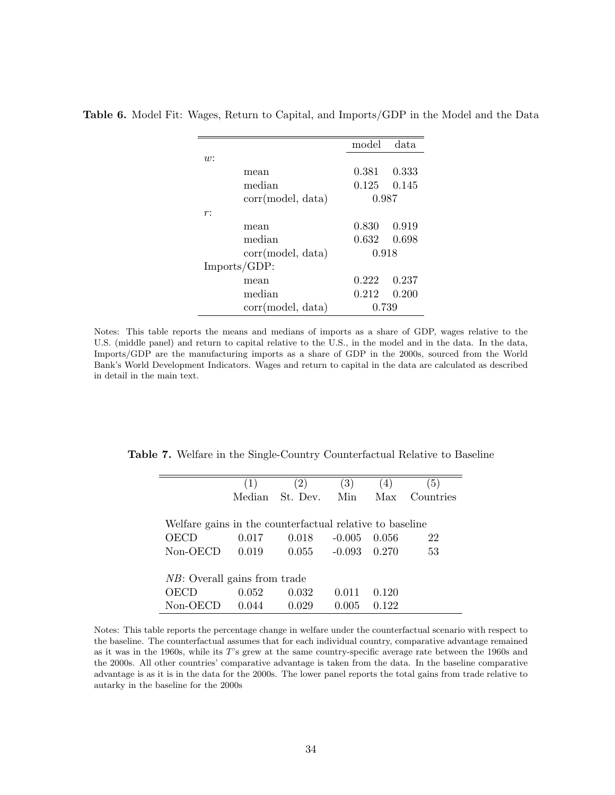|                   | model | data  |
|-------------------|-------|-------|
| w:                |       |       |
| mean              | 0.381 | 0.333 |
| median            | 0.125 | 0.145 |
| corr(model, data) | 0.987 |       |
| r:                |       |       |
| mean              | 0.830 | 0.919 |
| median            | 0.632 | 0.698 |
| corr(model, data) | 0.918 |       |
| Imports/GDP:      |       |       |
| mean              | 0.222 | 0.237 |
| median            | 0.212 | 0.200 |
| corr(model, data) | 0.739 |       |

<span id="page-35-0"></span>Table 6. Model Fit: Wages, Return to Capital, and Imports/GDP in the Model and the Data

Notes: This table reports the means and medians of imports as a share of GDP, wages relative to the U.S. (middle panel) and return to capital relative to the U.S., in the model and in the data. In the data, Imports/GDP are the manufacturing imports as a share of GDP in the 2000s, sourced from the World Bank's World Development Indicators. Wages and return to capital in the data are calculated as described in detail in the main text.

Table 7. Welfare in the Single-Country Counterfactual Relative to Baseline

<span id="page-35-1"></span>

|                                                          | (1)   | $\left( 2\right)$ | (3)      | (4)   | (5)       |
|----------------------------------------------------------|-------|-------------------|----------|-------|-----------|
|                                                          |       | Median St. Dev.   | Min      | Max   | Countries |
|                                                          |       |                   |          |       |           |
| Welfare gains in the counterfactual relative to baseline |       |                   |          |       |           |
| OECD                                                     | 0.017 | 0.018             | $-0.005$ | 0.056 | 22        |
| $Non-OECD$                                               | 0.019 | 0.055             | $-0.093$ | 0.270 | 53        |
|                                                          |       |                   |          |       |           |
| <i>NB</i> : Overall gains from trade                     |       |                   |          |       |           |
| OECD                                                     | 0.052 | 0.032             | 0.011    | 0.120 |           |
| Non-OECD                                                 | 0.044 | 0.029             | 0.005    | 0.122 |           |

Notes: This table reports the percentage change in welfare under the counterfactual scenario with respect to the baseline. The counterfactual assumes that for each individual country, comparative advantage remained as it was in the 1960s, while its T's grew at the same country-specific average rate between the 1960s and the 2000s. All other countries' comparative advantage is taken from the data. In the baseline comparative advantage is as it is in the data for the 2000s. The lower panel reports the total gains from trade relative to autarky in the baseline for the 2000s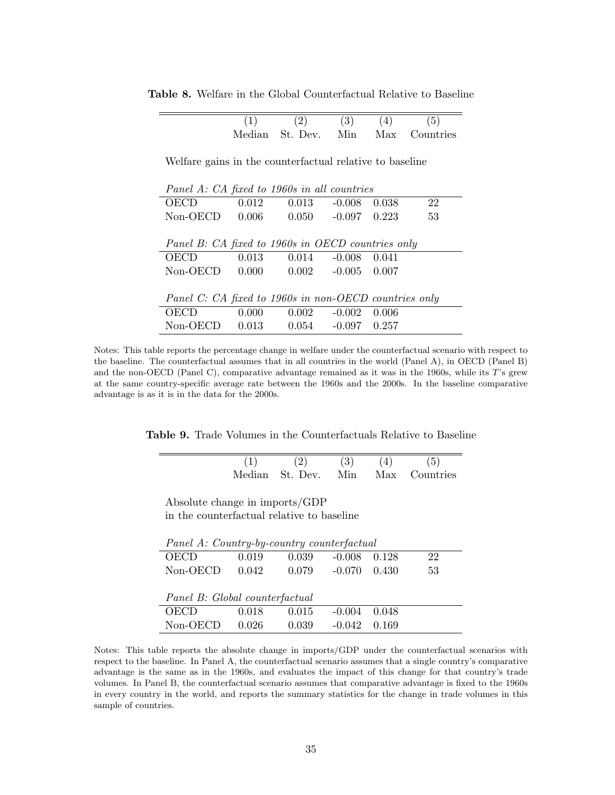|                                                          | (1)   | (2)                      | (3)                      | (4)   | (5)                               |
|----------------------------------------------------------|-------|--------------------------|--------------------------|-------|-----------------------------------|
|                                                          |       |                          |                          |       | Median St. Dev. Min Max Countries |
|                                                          |       |                          |                          |       |                                   |
| Welfare gains in the counterfactual relative to baseline |       |                          |                          |       |                                   |
|                                                          |       |                          |                          |       |                                   |
|                                                          |       |                          |                          |       |                                   |
| Panel A: CA fixed to 1960s in all countries              |       |                          |                          |       |                                   |
| <b>OECD</b>                                              | 0.012 | $0.013 - 0.008$          |                          | 0.038 | 22                                |
| Non-OECD                                                 | 0.006 |                          | $0.050 -0.097 0.223$     |       | 53                                |
|                                                          |       |                          |                          |       |                                   |
| Panel B: CA fixed to 1960s in OECD countries only        |       |                          |                          |       |                                   |
|                                                          |       |                          |                          |       |                                   |
| OECD                                                     | 0.013 |                          | $0.014 - 0.008$          | 0.041 |                                   |
| Non-OECD                                                 | 0.000 | $0.002$ $-0.005$ $0.007$ |                          |       |                                   |
|                                                          |       |                          |                          |       |                                   |
| Panel C: CA fixed to 1960s in non-OECD countries only    |       |                          |                          |       |                                   |
| OECD                                                     | 0.000 |                          | $0.002$ $-0.002$ $0.006$ |       |                                   |
| Non-OECD                                                 | 0.013 |                          | $0.054 -0.097 0.257$     |       |                                   |

<span id="page-36-0"></span>Table 8. Welfare in the Global Counterfactual Relative to Baseline

Notes: This table reports the percentage change in welfare under the counterfactual scenario with respect to the baseline. The counterfactual assumes that in all countries in the world (Panel A), in OECD (Panel B) and the non-OECD (Panel C), comparative advantage remained as it was in the 1960s, while its T's grew at the same country-specific average rate between the 1960s and the 2000s. In the baseline comparative advantage is as it is in the data for the 2000s.

Table 9. Trade Volumes in the Counterfactuals Relative to Baseline

<span id="page-36-1"></span>

| (2) | (3) | (4) | (5)                               |
|-----|-----|-----|-----------------------------------|
|     |     |     | Median St. Dev. Min Max Countries |

Absolute change in imports/GDP in the counterfactual relative to baseline

|                                | Panel A: Country-by-country counterfactual |       |          |       |    |  |  |  |  |
|--------------------------------|--------------------------------------------|-------|----------|-------|----|--|--|--|--|
| <b>OECD</b>                    | 0.019                                      | 0.039 | $-0.008$ | 0.128 | 22 |  |  |  |  |
| Non-OECD                       | 0.042                                      | 0.079 | $-0.070$ | 0.430 | 53 |  |  |  |  |
|                                |                                            |       |          |       |    |  |  |  |  |
| Panel B: Global counterfactual |                                            |       |          |       |    |  |  |  |  |
| OECD                           | 0.018                                      | 0.015 | $-0.004$ | 0.048 |    |  |  |  |  |
| Non-OECD                       | 0.026                                      | 0.039 | $-0.042$ | 0.169 |    |  |  |  |  |

Notes: This table reports the absolute change in imports/GDP under the counterfactual scenarios with respect to the baseline. In Panel A, the counterfactual scenario assumes that a single country's comparative advantage is the same as in the 1960s, and evaluates the impact of this change for that country's trade volumes. In Panel B, the counterfactual scenario assumes that comparative advantage is fixed to the 1960s in every country in the world, and reports the summary statistics for the change in trade volumes in this sample of countries.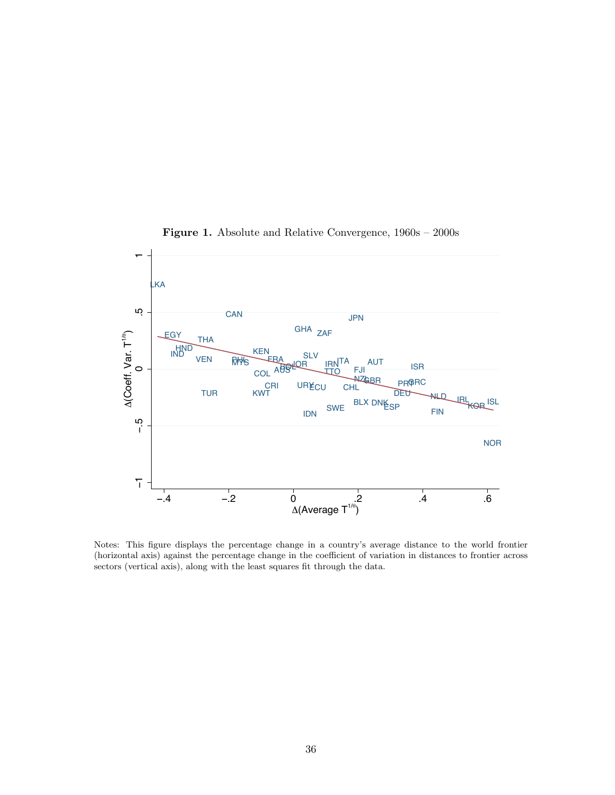

<span id="page-37-0"></span>Figure 1. Absolute and Relative Convergence, 1960s – 2000s

Notes: This figure displays the percentage change in a country's average distance to the world frontier (horizontal axis) against the percentage change in the coefficient of variation in distances to frontier across sectors (vertical axis), along with the least squares fit through the data.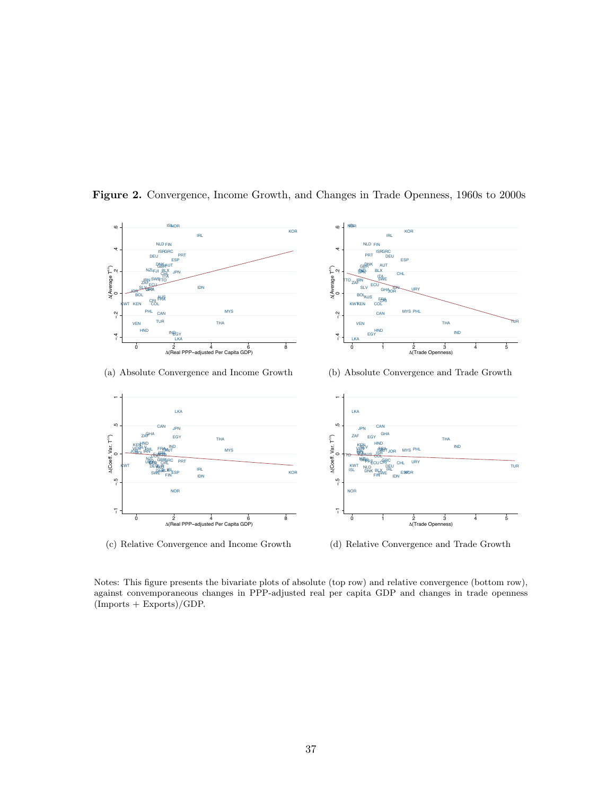

<span id="page-38-0"></span>Figure 2. Convergence, Income Growth, and Changes in Trade Openness, 1960s to 2000s

IRN

ZAF NZL

 $\widehat{\phantom{a}}$ 

 $\circ$ 

ISL

NISIR

JPN

NLD

ISR

FIN

ITA

AUT BLX GBR PRT DNK

IRL

KOR

ESP

CHL SWE

DEU

GRC

IDN

FJI tto

SLV

ECU



URY

(a) Absolute Convergence and Income Growth



(c) Relative Convergence and Income Growth

(b) Absolute Convergence and Trade Growth



(d) Relative Convergence and Trade Growth

Notes: This figure presents the bivariate plots of absolute (top row) and relative convergence (bottom row), against convemporaneous changes in PPP-adjusted real per capita GDP and changes in trade openness  $($ Imports + Exports $)/$ GDP.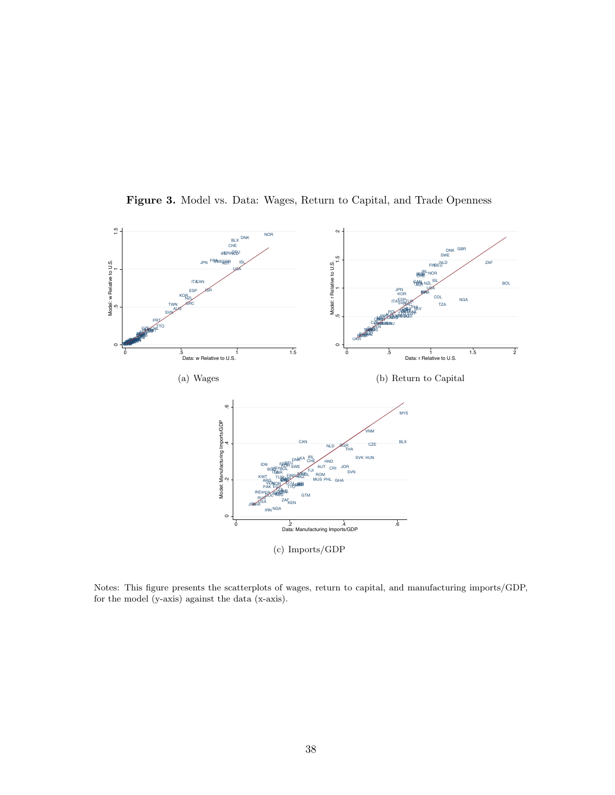

<span id="page-39-0"></span>Figure 3. Model vs. Data: Wages, Return to Capital, and Trade Openness

Notes: This figure presents the scatterplots of wages, return to capital, and manufacturing imports/GDP, for the model (y-axis) against the data (x-axis).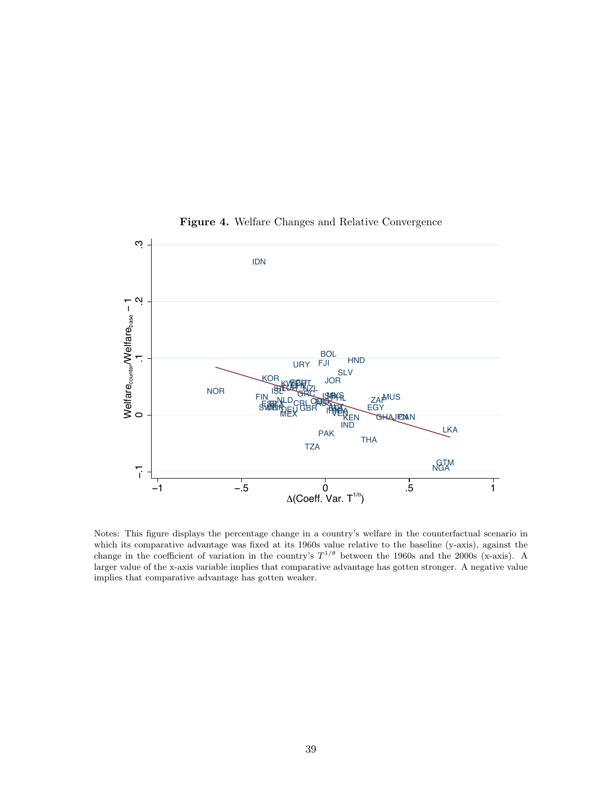

<span id="page-40-0"></span>Figure 4. Welfare Changes and Relative Convergence

Notes: This figure displays the percentage change in a country's welfare in the counterfactual scenario in which its comparative advantage was fixed at its 1960s value relative to the baseline (y-axis), against the change in the coefficient of variation in the country's  $T^{1/\theta}$  between the 1960s and the 2000s (x-axis). A larger value of the x-axis variable implies that comparative advantage has gotten stronger. A negative value implies that comparative advantage has gotten weaker.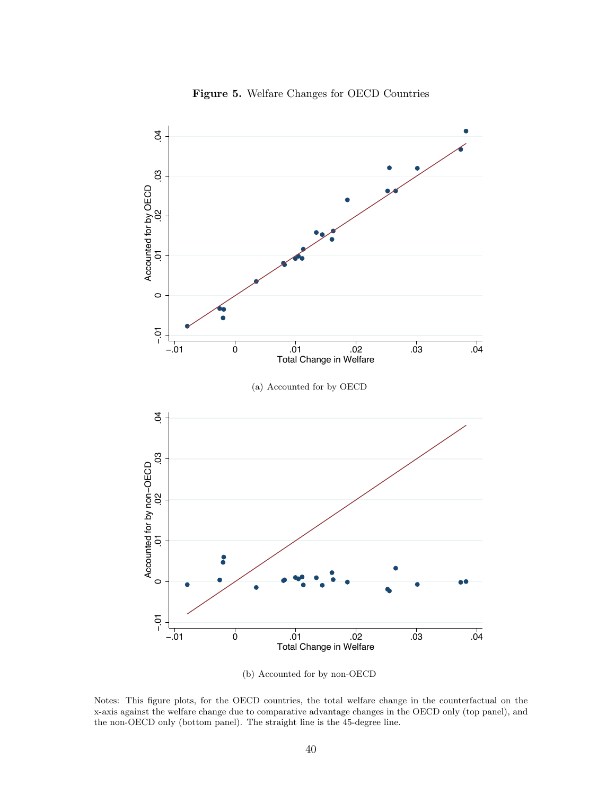<span id="page-41-0"></span>

<span id="page-41-1"></span>Figure 5. Welfare Changes for OECD Countries

(b) Accounted for by non-OECD

<span id="page-41-2"></span>Notes: This figure plots, for the OECD countries, the total welfare change in the counterfactual on the x-axis against the welfare change due to comparative advantage changes in the OECD only (top panel), and the non-OECD only (bottom panel). The straight line is the 45-degree line.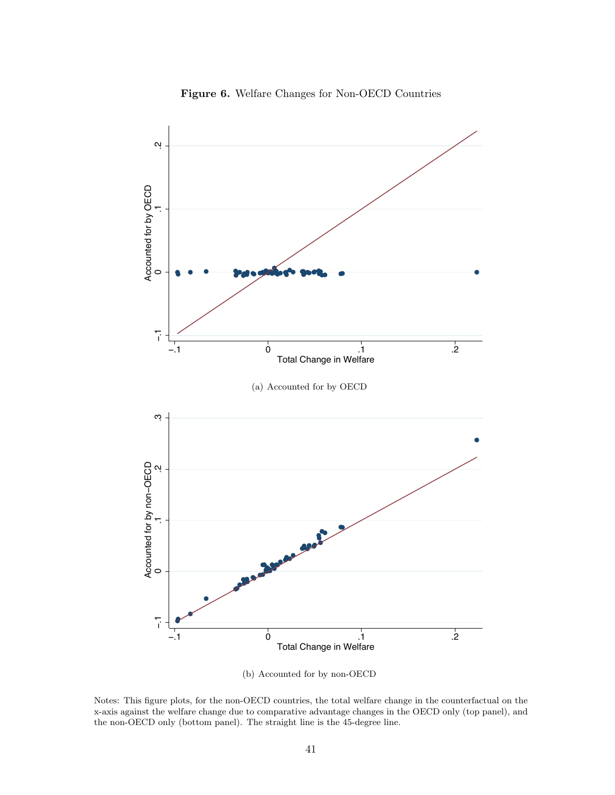<span id="page-42-1"></span>

<span id="page-42-0"></span>Figure 6. Welfare Changes for Non-OECD Countries

(b) Accounted for by non-OECD

<span id="page-42-2"></span>Notes: This figure plots, for the non-OECD countries, the total welfare change in the counterfactual on the x-axis against the welfare change due to comparative advantage changes in the OECD only (top panel), and the non-OECD only (bottom panel). The straight line is the 45-degree line.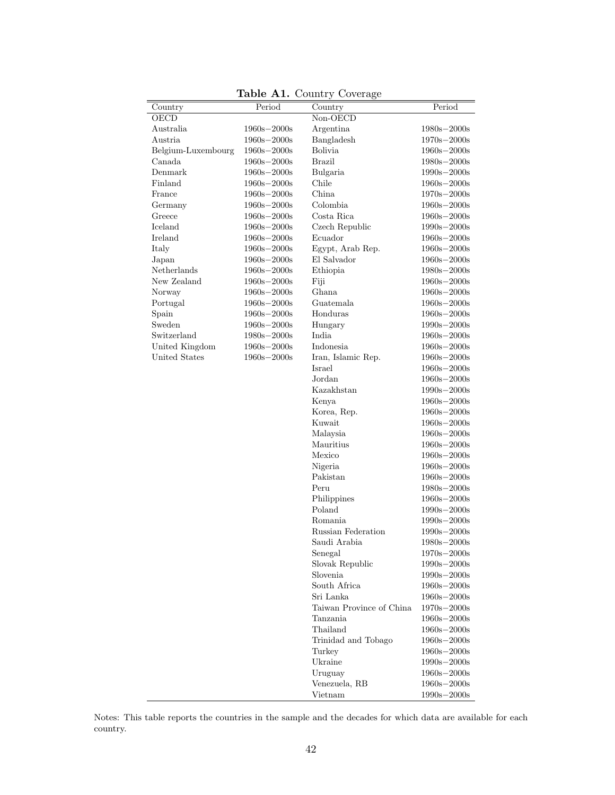|                    |                 | <b>Table AI.</b> Country Coverage |                                   |
|--------------------|-----------------|-----------------------------------|-----------------------------------|
| Country            | Period          | Country                           | Period                            |
| OECD               |                 | $\overline{\text{Non-OECD}}$      |                                   |
| Australia          | $1960s - 2000s$ | Argentina                         | $1980s - 2000s$                   |
| Austria            | $1960s - 2000s$ | Bangladesh                        | $1970s - 2000s$                   |
| Belgium-Luxembourg | $1960s - 2000s$ | <b>Bolivia</b>                    | $1960s - 2000s$                   |
| Canada             | $1960s - 2000s$ | <b>Brazil</b>                     | $1980s - 2000s$                   |
| Denmark            | $1960s - 2000s$ | Bulgaria                          | $1990s - 2000s$                   |
| Finland            | $1960s - 2000s$ | Chile                             | $1960s - 2000s$                   |
| France             | $1960s - 2000s$ | China                             | $1970s - 2000s$                   |
| Germany            | $1960s - 2000s$ | Colombia                          | $1960s - 2000s$                   |
| Greece             | $1960s - 2000s$ | Costa Rica                        | $1960s - 2000s$                   |
| Iceland            | $1960s - 2000s$ | Czech Republic                    | $1990s - 2000s$                   |
| Ireland            | $1960s - 2000s$ | Ecuador                           | $1960s - 2000s$                   |
| Italy              | $1960s - 2000s$ | Egypt, Arab Rep.                  | $1960s - 2000s$                   |
| Japan              | $1960s - 2000s$ | El Salvador                       | $1960s - 2000s$                   |
| Netherlands        | $1960s - 2000s$ | Ethiopia                          | $1980s - 2000s$                   |
| New Zealand        | $1960s - 2000s$ | Fiji                              | $1960s - 2000s$                   |
| Norway             | $1960s - 2000s$ | Ghana                             | $1960s - 2000s$                   |
| Portugal           | $1960s - 2000s$ | Guatemala                         | $1960s - 2000s$                   |
| Spain              | $1960s - 2000s$ | Honduras                          | $1960s - 2000s$                   |
| Sweden             | $1960s - 2000s$ | Hungary                           | $1990s - 2000s$                   |
| Switzerland        | $1980s - 2000s$ | India                             | $1960s - 2000s$                   |
| United Kingdom     | $1960s - 2000s$ | Indonesia                         | $1960s - 2000s$                   |
| United States      | $1960s - 2000s$ | Iran, Islamic Rep.                | $1960s - 2000s$                   |
|                    |                 | Israel                            | $1960s - 2000s$                   |
|                    |                 | Jordan                            | $1960s - 2000s$                   |
|                    |                 | Kazakhstan                        | $1990s - 2000s$                   |
|                    |                 | Kenya                             | $1960s - 2000s$                   |
|                    |                 | Korea, Rep.                       | $1960s - 2000s$                   |
|                    |                 | Kuwait                            | $1960s - 2000s$                   |
|                    |                 | Malaysia                          | $1960s - 2000s$                   |
|                    |                 | Mauritius                         | $1960s - 2000s$                   |
|                    |                 | Mexico                            | $1960s - 2000s$                   |
|                    |                 | Nigeria                           | $1960s - 2000s$                   |
|                    |                 | Pakistan                          | $1960s - 2000s$                   |
|                    |                 | Peru                              | $1980s - 2000s$                   |
|                    |                 | Philippines                       | $1960s - 2000s$                   |
|                    |                 | Poland                            | $1990s - 2000s$                   |
|                    |                 | Romania                           | $1990s - 2000s$                   |
|                    |                 | Russian Federation                | $1990s - 2000s$                   |
|                    |                 | Saudi Arabia                      | $1980s - 2000s$                   |
|                    |                 | Senegal                           | $1970s - 2000s$                   |
|                    |                 | Slovak Republic                   | $1990s - 2000s$                   |
|                    |                 | Slovenia                          | $1990s - 2000s$                   |
|                    |                 | South Africa                      | $1960s - 2000s$                   |
|                    |                 | Sri Lanka                         | $1960s - 2000s$                   |
|                    |                 | Taiwan Province of China          | $1970s - 2000s$                   |
|                    |                 | Tanzania                          | $1960\mathrm{s}{-2000\mathrm{s}}$ |
|                    |                 | Thailand                          | $1960s - 2000s$                   |
|                    |                 | Trinidad and Tobago               | $1960s - 2000s$                   |
|                    |                 | Turkey                            | $1960s - 2000s$                   |
|                    |                 | Ukraine                           | $1990s - 2000s$                   |
|                    |                 | Uruguay                           | $1960s - 2000s$                   |
|                    |                 | Venezuela, RB                     | $1960s - 2000s$                   |
|                    |                 | Vietnam                           | $1990s - 2000s$                   |
|                    |                 |                                   |                                   |

Table  $\Lambda$ 1. Country  $C_4$ 

Notes: This table reports the countries in the sample and the decades for which data are available for each country.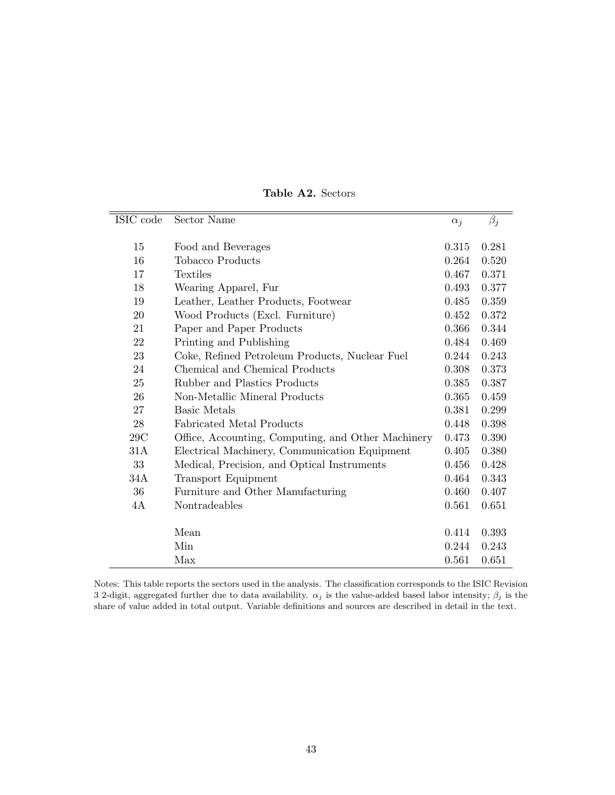| ISIC code | Sector Name                                        | $\alpha_i$ | $\beta_j$ |
|-----------|----------------------------------------------------|------------|-----------|
|           |                                                    |            |           |
| 15        | Food and Beverages                                 | 0.315      | 0.281     |
| 16        | Tobacco Products                                   | 0.264      | 0.520     |
| 17        | Textiles                                           | 0.467      | 0.371     |
| 18        | Wearing Apparel, Fur                               | 0.493      | 0.377     |
| 19        | Leather, Leather Products, Footwear                | 0.485      | 0.359     |
| 20        | Wood Products (Excl. Furniture)                    | 0.452      | 0.372     |
| 21        | Paper and Paper Products                           | 0.366      | 0.344     |
| 22        | Printing and Publishing                            | 0.484      | 0.469     |
| 23        | Coke, Refined Petroleum Products, Nuclear Fuel     | 0.244      | 0.243     |
| 24        | Chemical and Chemical Products                     | 0.308      | 0.373     |
| 25        | Rubber and Plastics Products                       | 0.385      | 0.387     |
| 26        | Non-Metallic Mineral Products                      | 0.365      | 0.459     |
| 27        | Basic Metals                                       | 0.381      | 0.299     |
| 28        | Fabricated Metal Products                          | 0.448      | 0.398     |
| 29C       | Office, Accounting, Computing, and Other Machinery | 0.473      | 0.390     |
| 31A       | Electrical Machinery, Communication Equipment      | 0.405      | 0.380     |
| 33        | Medical, Precision, and Optical Instruments        | 0.456      | 0.428     |
| 34A       | <b>Transport Equipment</b>                         | 0.464      | 0.343     |
| 36        | Furniture and Other Manufacturing                  | 0.460      | 0.407     |
| 4A        | Nontradeables                                      | 0.561      | 0.651     |
|           |                                                    |            |           |
|           | Mean                                               | 0.414      | 0.393     |
|           | Min                                                | 0.244      | 0.243     |
|           | Max                                                | 0.561      | 0.651     |

Table A2. Sectors

Notes: This table reports the sectors used in the analysis. The classification corresponds to the ISIC Revision 3 2-digit, aggregated further due to data availability.  $\alpha_j$  is the value-added based labor intensity;  $\beta_j$  is the share of value added in total output. Variable definitions and sources are described in detail in the text.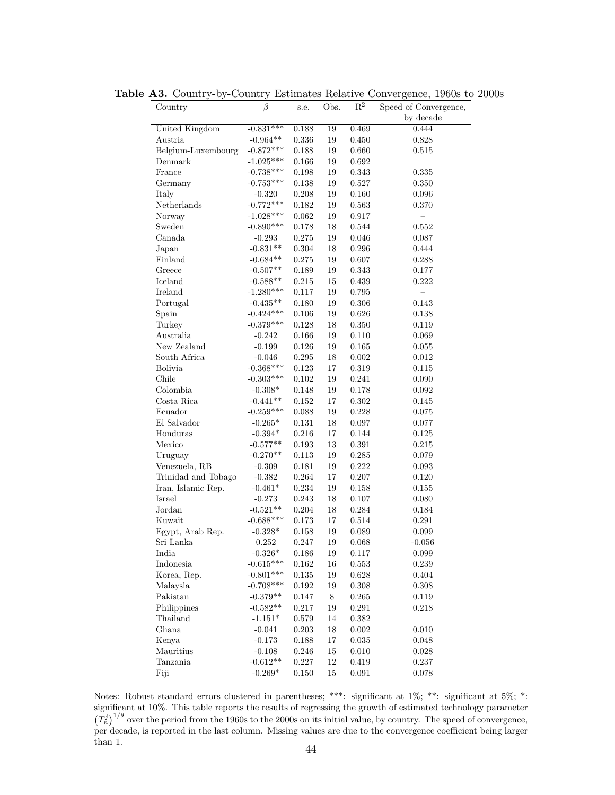| Country             | $\overline{\beta}$       | s.e.           | Obs.     | $R^2$                  | Speed of Convergence, |
|---------------------|--------------------------|----------------|----------|------------------------|-----------------------|
|                     |                          |                |          |                        | by decade             |
| United Kingdom      | $-0.831***$              | 0.188          | 19       | 0.469                  | 0.444                 |
| Austria             | $-0.964**$               | 0.336          | 19       | 0.450                  | 0.828                 |
| Belgium-Luxembourg  | $-0.872***$              | 0.188          | 19       | 0.660                  | 0.515                 |
| Denmark             | $-1.025***$              | 0.166          | 19       | 0.692                  |                       |
| France              | $-0.738***$              | 0.198          | 19       | 0.343                  | 0.335                 |
| Germany             | $-0.753***$              | 0.138          | 19       | 0.527                  | 0.350                 |
| Italy               | $-0.320$                 | 0.208          | 19       | 0.160                  | 0.096                 |
| Netherlands         | $-0.772***$              | 0.182          | 19       | 0.563                  | 0.370                 |
| Norway              | $-1.028***$              | 0.062          | 19       | 0.917                  |                       |
| Sweden              | $-0.890***$              | 0.178          | 18       | 0.544                  | 0.552                 |
| Canada              | $-0.293$                 | 0.275          | 19       | $0.046\,$              | 0.087                 |
| Japan               | $-0.831**$               | $0.304\,$      | 18       | $0.296\,$              | 0.444                 |
| Finland             | $-0.684**$               | 0.275          | 19       | 0.607                  | 0.288                 |
| Greece              | $-0.507**$               | 0.189          | 19       | 0.343                  | 0.177                 |
| Iceland             | $-0.588**$               | 0.215          | 15       | 0.439                  | 0.222                 |
| Ireland             | $-1.280***$              | 0.117          | 19       | 0.795                  |                       |
| Portugal            | $-0.435**$               | 0.180          | 19       | $0.306\,$              | 0.143                 |
| Spain               | $-0.424***$              | 0.106          | 19       | 0.626                  | 0.138                 |
| Turkey              | $-0.379***$              | 0.128          | 18       | 0.350                  | 0.119                 |
| Australia           | $-0.242$                 | 0.166          | 19       | 0.110                  | 0.069                 |
| New Zealand         | $-0.199$                 | 0.126          | 19       | 0.165                  | 0.055                 |
| South Africa        | $-0.046$                 | $0.295\,$      | 18       | $0.002\,$              | $0.012\,$             |
| Bolivia             | $-0.368***$              | 0.123          | 17       | 0.319                  | 0.115                 |
| Chile               | $-0.303***$              | 0.102          | 19       | 0.241                  | 0.090                 |
| Colombia            | $-0.308*$                | 0.148          | 19       | $0.178\,$              | 0.092                 |
| Costa Rica          | $-0.441**$               | 0.152          | 17       | 0.302                  | 0.145                 |
| Ecuador             | $-0.259***$              | 0.088          | 19       | 0.228                  | 0.075                 |
| El Salvador         | $-0.265*$                | 0.131          | 18       | 0.097                  | 0.077                 |
| Honduras            | $-0.394*$                |                | 17       | $0.144\,$              |                       |
|                     |                          | 0.216          |          |                        | 0.125                 |
| Mexico              | $-0.577**$<br>$-0.270**$ | 0.193<br>0.113 | 13<br>19 | $0.391\,$<br>$0.285\,$ | 0.215                 |
| Uruguay             |                          |                |          |                        | 0.079                 |
| Venezuela, RB       | $-0.309$                 | 0.181          | 19       | 0.222                  | 0.093                 |
| Trinidad and Tobago | $-0.382$                 | 0.264          | 17       | $0.207\,$              | 0.120                 |
| Iran, Islamic Rep.  | $-0.461*$                | 0.234          | 19       | 0.158                  | 0.155                 |
| Israel              | $-0.273$                 | 0.243          | 18       | 0.107                  | 0.080                 |
| ${\rm Jordan}$      | $-0.521**$               | 0.204          | 18       | 0.284                  | 0.184                 |
| Kuwait              | $-0.688***$              | 0.173          | 17       | 0.514                  | $0.291\,$             |
| Egypt, Arab Rep.    | $-0.328*$                | 0.158          | 19       | 0.089                  | $\,0.099\,$           |
| Sri Lanka           | $0.252\,$                | 0.247          | 19       | 0.068                  | $-0.056$              |
| India               | $-0.326*$                | 0.186          | $19\,$   | 0.117                  | 0.099                 |
| Indonesia           | $-0.615***$              | 0.162          | 16       | 0.553                  | 0.239                 |
| Korea, Rep.         | $-0.801***$              | $0.135\,$      | 19       | $0.628\,$              | $0.404\,$             |
| Malaysia            | $-0.708***$              | 0.192          | 19       | 0.308                  | 0.308                 |
| Pakistan            | $-0.379**$               | 0.147          | 8        | 0.265                  | 0.119                 |
| Philippines         | $-0.582**$               | 0.217          | 19       | 0.291                  | 0.218                 |
| Thailand            | $-1.151*$                | 0.579          | 14       | 0.382                  | $\qquad \qquad -$     |
| Ghana               | $-0.041$                 | 0.203          | 18       | $0.002\,$              | $0.010\,$             |
| Kenya               | $-0.173$                 | 0.188          | 17       | $\,0.035\,$            | 0.048                 |
| Mauritius           | $-0.108$                 | 0.246          | 15       | 0.010                  | 0.028                 |
| Tanzania            | $-0.612**$               | 0.227          | 12       | 0.419                  | 0.237                 |
| Fiji                | $-0.269*$                | 0.150          | $15\,$   | $\,0.091\,$            | 0.078                 |

Table A3. Country-by-Country Estimates Relative Convergence, 1960s to 2000s

Notes: Robust standard errors clustered in parentheses; \*\*\*: significant at 1%; \*\*: significant at 5%; \*: significant at 10%. This table reports the results of regressing the growth of estimated technology parameter  $(T_n^j)^{1/\theta}$  over the period from the 1960s to the 2000s on its initial value, by country. The speed of convergence, per decade, is reported in the last column. Missing values are due to the convergence coefficient being larger than 1.